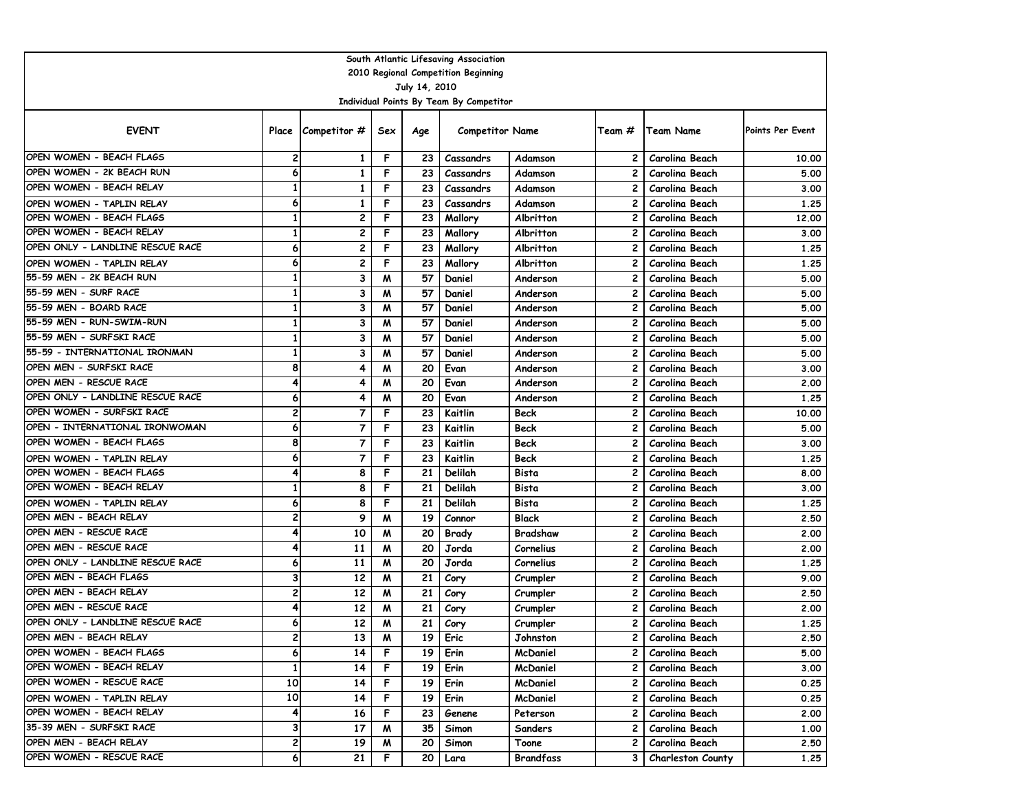| South Atlantic Lifesaving Association                       |                |                                  |        |                 |                                         |                     |                |                                  |                  |  |  |  |  |
|-------------------------------------------------------------|----------------|----------------------------------|--------|-----------------|-----------------------------------------|---------------------|----------------|----------------------------------|------------------|--|--|--|--|
| 2010 Regional Competition Beginning                         |                |                                  |        |                 |                                         |                     |                |                                  |                  |  |  |  |  |
| July 14, 2010                                               |                |                                  |        |                 |                                         |                     |                |                                  |                  |  |  |  |  |
|                                                             |                |                                  |        |                 | Individual Points By Team By Competitor |                     |                |                                  |                  |  |  |  |  |
| <b>EVENT</b>                                                |                | Place Competitor #               | Sex    | Age             | <b>Competitor Name</b>                  |                     | Team #         | <b>Team Name</b>                 | Points Per Event |  |  |  |  |
| OPEN WOMEN - BEACH FLAGS                                    | 2              | 1                                | F      | 23              | Cassandrs                               | Adamson             | 2              | Carolina Beach                   | 10.00            |  |  |  |  |
| OPEN WOMEN - 2K BEACH RUN                                   | 6              | 1                                | F      | 23              | Cassandrs                               | Adamson             | 2              | Carolina Beach                   | 5.00             |  |  |  |  |
| OPEN WOMEN - BEACH RELAY                                    | $\mathbf{1}$   | 1                                | F      | 23              | Cassandrs                               | Adamson             | 2              | Carolina Beach                   | 3.00             |  |  |  |  |
| OPEN WOMEN - TAPLIN RELAY                                   | 6              | 1                                | F      | 23              | Cassandrs                               | Adamson             | 2              | Carolina Beach                   | 1.25             |  |  |  |  |
| OPEN WOMEN - BEACH FLAGS                                    | 1              | 2                                | F      | 23              | Mallory                                 | Albritton           | 2              | Carolina Beach                   | 12.00            |  |  |  |  |
| OPEN WOMEN - BEACH RELAY                                    | 1              | 2                                | F      | 23              | Mallory                                 | Albritton           | 2              | Carolina Beach                   | 3.00             |  |  |  |  |
| OPEN ONLY - LANDLINE RESCUE RACE                            | 6              | $\mathbf{z}$                     | F      | 23              | Mallory                                 | Albritton           | 2              | Carolina Beach                   | 1.25             |  |  |  |  |
| OPEN WOMEN - TAPLIN RELAY                                   | 6              | $\mathbf{z}$                     | F      | 23              | Mallory                                 | Albritton           | 2              | Carolina Beach                   | 1.25             |  |  |  |  |
| 55-59 MEN - 2K BEACH RUN                                    | $\mathbf{1}$   | 3                                | M      | 57              | Daniel                                  | Anderson            | 2              | Carolina Beach                   | 5.00             |  |  |  |  |
| 55-59 MEN - SURF RACE                                       | $\mathbf{1}$   | 3                                | M      | 57              | Daniel                                  | Anderson            | $\overline{c}$ | Carolina Beach                   | 5.00             |  |  |  |  |
| 55-59 MEN - BOARD RACE                                      | 1              | 3                                | M      | 57              | Daniel                                  | Anderson            | 2              | Carolina Beach                   | 5.00             |  |  |  |  |
| 55-59 MEN - RUN-SWIM-RUN                                    | 1              | 3                                | M      | 57              | Daniel                                  | Anderson            | $\mathbf{2}$   | Carolina Beach                   | 5.00             |  |  |  |  |
| 55-59 MEN - SURFSKI RACE                                    | $\mathbf{1}$   | 3                                | M      | 57              | Daniel                                  | Anderson            | 2              | Carolina Beach                   | 5.00             |  |  |  |  |
| 55-59 - INTERNATIONAL IRONMAN                               | $\mathbf{1}$   | 3                                | M      | 57              | Daniel                                  | Anderson            | 2              | Carolina Beach                   | 5.00             |  |  |  |  |
| OPEN MEN - SURFSKI RACE                                     | 8              | 4                                | M      | 20              | Evan                                    | Anderson            | 2              | Carolina Beach                   | 3.00             |  |  |  |  |
| OPEN MEN - RESCUE RACE                                      | 4              | 4                                | M      | 20              | Evan                                    | Anderson            | 2              | Carolina Beach                   | 2.00             |  |  |  |  |
| OPEN ONLY - LANDLINE RESCUE RACE                            | 6              | 4                                | W      | 20              | Evan                                    | Anderson            | 2              | Carolina Beach                   | 1.25             |  |  |  |  |
| OPEN WOMEN - SURFSKI RACE<br>OPEN - INTERNATIONAL IRONWOMAN | 2              | $\overline{7}$                   | F      | 23              | Kaitlin                                 | <b>Beck</b>         | 2              | Carolina Beach                   | 10.00            |  |  |  |  |
| OPEN WOMEN - BEACH FLAGS                                    | 6              | 7                                | F      | 23              | Kaitlin                                 | <b>Beck</b>         | 2              | Carolina Beach                   | 5.00             |  |  |  |  |
|                                                             | 8<br>6         | $\overline{7}$<br>$\overline{7}$ | F<br>F | 23<br>23        | Kaitlin                                 | Beck<br><b>Beck</b> | 2<br>2         | Carolina Beach                   | 3.00             |  |  |  |  |
| OPEN WOMEN - TAPLIN RELAY<br>OPEN WOMEN - BEACH FLAGS       | 4              | 8                                | F      | 21              | Kaitlin<br>Delilah                      | Bista               | 2              | Carolina Beach<br>Carolina Beach | 1.25<br>8.00     |  |  |  |  |
| OPEN WOMEN - BEACH RELAY                                    | 1              | 8                                | F      | 21              | Delilah                                 | Bista               | 2              | Carolina Beach                   | 3.00             |  |  |  |  |
| OPEN WOMEN - TAPLIN RELAY                                   | 6              | 8                                | F      | 21              | Delilah                                 | Bista               | 2              | Carolina Beach                   | 1.25             |  |  |  |  |
| OPEN MEN - BEACH RELAY                                      | 2              | 9                                | M      | 19              | Connor                                  | <b>Black</b>        | 2              | Carolina Beach                   | 2.50             |  |  |  |  |
| OPEN MEN - RESCUE RACE                                      | 4              | 10                               | M      | 20              | Brady                                   | Bradshaw            | 2              | Carolina Beach                   | 2.00             |  |  |  |  |
| OPEN MEN - RESCUE RACE                                      | 4              | 11                               | M      | 20              | Jorda                                   | Cornelius           | 2              | Carolina Beach                   | 2.00             |  |  |  |  |
| OPEN ONLY - LANDLINE RESCUE RACE                            | 6              | 11                               | M      | 20              | Jorda                                   | Cornelius           | 2              | Carolina Beach                   | 1.25             |  |  |  |  |
| OPEN MEN - BEACH FLAGS                                      | 3              | 12                               | W      | 21              | Cory                                    | Crumpler            | 2              | Carolina Beach                   | 9.00             |  |  |  |  |
| OPEN MEN - BEACH RELAY                                      | 2              | 12                               | W      | 21              | Cory                                    | Crumpler            | $\mathbf{2}$   | Carolina Beach                   | 2.50             |  |  |  |  |
| OPEN MEN - RESCUE RACE                                      | 4              | 12                               | M      | 21              | Cory                                    | Crumpler            | $\mathbf{2}$   | Carolina Beach                   | 2.00             |  |  |  |  |
| OPEN ONLY - LANDLINE RESCUE RACE                            | 6              | 12                               | M      | 21              | Cory                                    | Crumpler            | 2              | Carolina Beach                   | 1.25             |  |  |  |  |
| OPEN MEN - BEACH RELAY                                      | 2              | 13                               | M      | 19 <sup>1</sup> | Eric                                    | Johnston            | 2              | Carolina Beach                   | 2.50             |  |  |  |  |
| OPEN WOMEN - BEACH FLAGS                                    | 6              | 14                               | F      | 19              | Erin                                    | McDaniel            | $\mathbf{2}$   | Carolina Beach                   | 5.00             |  |  |  |  |
| OPEN WOMEN - BEACH RELAY                                    | 1              | 14                               | F      | 19 <sup>1</sup> | Erin                                    | McDaniel            | 2 I            | Carolina Beach                   | 3.00             |  |  |  |  |
| OPEN WOMEN - RESCUE RACE                                    | 10             | 14                               | F      | 19              | Erin                                    | McDaniel            | 2 I            | Carolina Beach                   | 0.25             |  |  |  |  |
| OPEN WOMEN - TAPLIN RELAY                                   | 10             | 14                               | F      | 19 <sup>1</sup> | Erin                                    | McDaniel            | 2 I            | Carolina Beach                   | 0.25             |  |  |  |  |
| OPEN WOMEN - BEACH RELAY                                    | 4              | 16                               | F      | 23              | Genene                                  | Peterson            |                | 2   Carolina Beach               | 2.00             |  |  |  |  |
| 35-39 MEN - SURFSKI RACE                                    | 3              | 17                               | M      | 35 <sub>1</sub> | Simon                                   | Sanders             | 2 I            | Carolina Beach                   | 1.00             |  |  |  |  |
| OPEN MEN - BEACH RELAY                                      | $\overline{2}$ | 19                               | M      | 20              | Simon                                   | Toone               | 2 I            | Carolina Beach                   | 2.50             |  |  |  |  |
| OPEN WOMEN - RESCUE RACE                                    | 6              | 21                               | F      | 20 <sub>1</sub> | Lara                                    | Brandfass           |                | 3   Charleston County            | 1.25             |  |  |  |  |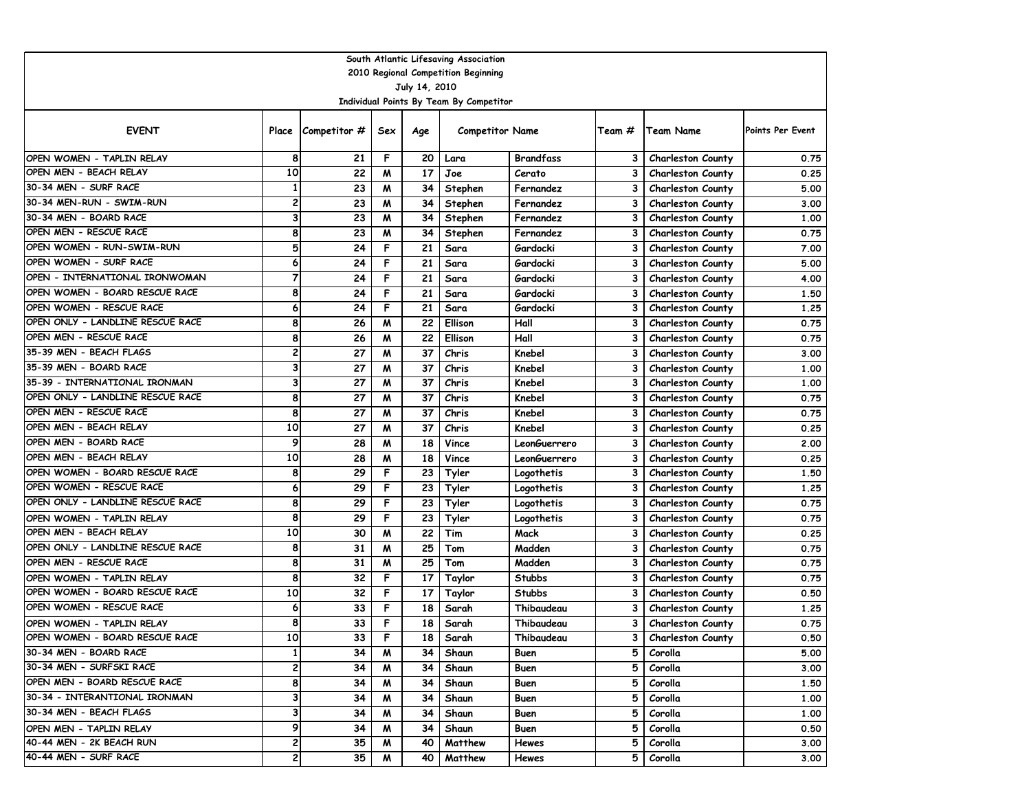| South Atlantic Lifesaving Association |                 |                    |     |                 |                                         |                  |                |                          |                         |  |  |  |  |
|---------------------------------------|-----------------|--------------------|-----|-----------------|-----------------------------------------|------------------|----------------|--------------------------|-------------------------|--|--|--|--|
| 2010 Regional Competition Beginning   |                 |                    |     |                 |                                         |                  |                |                          |                         |  |  |  |  |
| July 14, 2010                         |                 |                    |     |                 |                                         |                  |                |                          |                         |  |  |  |  |
|                                       |                 |                    |     |                 | Individual Points By Team By Competitor |                  |                |                          |                         |  |  |  |  |
| <b>EVENT</b>                          |                 | Place Competitor # | Sex | Age             | <b>Competitor Name</b>                  |                  | Team #         | Team Name                | <b>Points Per Event</b> |  |  |  |  |
| OPEN WOMEN - TAPLIN RELAY             | 8               | 21                 | F   | 20              | Lara                                    | <b>Brandfass</b> | 3              | <b>Charleston County</b> | 0.75                    |  |  |  |  |
| OPEN MEN - BEACH RELAY                | 10              | 22                 | M   | 17              | Joe                                     | Cerato           | 3              | <b>Charleston County</b> | 0.25                    |  |  |  |  |
| 30-34 MEN - SURF RACE                 | $\mathbf{1}$    | 23                 | M   | 34              | Stephen                                 | Fernandez        | 3              | <b>Charleston County</b> | 5.00                    |  |  |  |  |
| 30-34 MEN-RUN - SWIM-RUN              | 2               | 23                 | M   | 34              | Stephen                                 | Fernandez        | 3              | <b>Charleston County</b> | 3.00                    |  |  |  |  |
| 30-34 MEN - BOARD RACE                | 3               | 23                 | M   | 34              | Stephen                                 | Fernandez        | 3              | <b>Charleston County</b> | 1.00                    |  |  |  |  |
| OPEN MEN - RESCUE RACE                | 8               | 23                 | M   | 34              | Stephen                                 | Fernandez        | 3              | <b>Charleston County</b> | 0.75                    |  |  |  |  |
| OPEN WOMEN - RUN-SWIM-RUN             | 5               | 24                 | F   | 21              | Sara                                    | Gardocki         | 3              | <b>Charleston County</b> | 7.00                    |  |  |  |  |
| OPEN WOMEN - SURF RACE                | 6               | 24                 | F   | 21              | Sara                                    | Gardocki         | 3              | <b>Charleston County</b> | 5.00                    |  |  |  |  |
| OPEN - INTERNATIONAL IRONWOMAN        | $\overline{7}$  | 24                 | F   | 21              | Sara                                    | Gardocki         | 3              | <b>Charleston County</b> | 4.00                    |  |  |  |  |
| OPEN WOMEN - BOARD RESCUE RACE        | 8               | 24                 | F   | 21              | Sara                                    | Gardocki         | 3              | <b>Charleston County</b> | 1.50                    |  |  |  |  |
| OPEN WOMEN - RESCUE RACE              | 6               | 24                 | F   | 21              | Sara                                    | Gardocki         | 3              | <b>Charleston County</b> | 1.25                    |  |  |  |  |
| OPEN ONLY - LANDLINE RESCUE RACE      | 8               | 26                 | W   | 22              | Ellison                                 | Hall             | 3              | <b>Charleston County</b> | 0.75                    |  |  |  |  |
| OPEN MEN - RESCUE RACE                | 8               | 26                 | M   | 22              | Ellison                                 | Hall             | 3              | Charleston County        | 0.75                    |  |  |  |  |
| 35-39 MEN - BEACH FLAGS               | 2               | 27                 | M   | 37              | Chris                                   | Knebel           | 3              | Charleston County        | 3.00                    |  |  |  |  |
| 35-39 MEN - BOARD RACE                | 3               | 27                 | M   | 37              | Chris                                   | Knebel           | 3              | <b>Charleston County</b> | 1.00                    |  |  |  |  |
| 35-39 - INTERNATIONAL IRONMAN         | 3               | 27                 | M   | 37              | Chris                                   | Knebel           | 3              | <b>Charleston County</b> | 1.00                    |  |  |  |  |
| OPEN ONLY - LANDLINE RESCUE RACE      | 8               | 27                 | M   | 37              | Chris                                   | Knebel           | 3              | <b>Charleston County</b> | 0.75                    |  |  |  |  |
| OPEN MEN - RESCUE RACE                | 8               | 27                 | м   | 37              | Chris                                   | Knebel           | 3              | <b>Charleston County</b> | 0.75                    |  |  |  |  |
| OPEN MEN - BEACH RELAY                | $\overline{10}$ | 27                 | M   | 37              | Chris                                   | Knebel           | 3              | <b>Charleston County</b> | 0.25                    |  |  |  |  |
| OPEN MEN - BOARD RACE                 | 9               | 28                 | M   | 18              | Vince                                   | LeonGuerrero     | 3              | <b>Charleston County</b> | 2.00                    |  |  |  |  |
| OPEN MEN - BEACH RELAY                | 10              | 28                 | M   | 18              | Vince                                   | LeonGuerrero     | 3              | <b>Charleston County</b> | 0.25                    |  |  |  |  |
| OPEN WOMEN - BOARD RESCUE RACE        | 8               | 29                 | F   | 23              | Tyler                                   | Logothetis       | 3              | <b>Charleston County</b> | 1.50                    |  |  |  |  |
| OPEN WOMEN - RESCUE RACE              | 6               | 29                 | F   | 23              | Tyler                                   | Logothetis       | 3              | <b>Charleston County</b> | 1.25                    |  |  |  |  |
| OPEN ONLY - LANDLINE RESCUE RACE      | 8               | 29                 | F   | 23              | Tyler                                   | Logothetis       | 3              | Charleston County        | 0.75                    |  |  |  |  |
| OPEN WOMEN - TAPLIN RELAY             | 8               | 29                 | F   | 23              | Tyler                                   | Logothetis       | 3              | <b>Charleston County</b> | 0.75                    |  |  |  |  |
| OPEN MEN - BEACH RELAY                | 10              | 30                 | M   | 22              | Tim                                     | Mack             | 3              | Charleston County        | 0.25                    |  |  |  |  |
| OPEN ONLY - LANDLINE RESCUE RACE      | 8               | 31                 | M   | 25              | Tom                                     | Madden           | 3              | <b>Charleston County</b> | 0.75                    |  |  |  |  |
| OPEN MEN - RESCUE RACE                | 8               | 31                 | M   | 25              | Tom                                     | Madden           | 3              | <b>Charleston County</b> | 0.75                    |  |  |  |  |
| OPEN WOMEN - TAPLIN RELAY             | 8               | 32                 | F   | 17              | Taylor                                  | <b>Stubbs</b>    | 3              | <b>Charleston County</b> | 0.75                    |  |  |  |  |
| OPEN WOMEN - BOARD RESCUE RACE        | 10              | 32                 | F   | 17              | Taylor                                  | <b>Stubbs</b>    | 3              | <b>Charleston County</b> | 0.50                    |  |  |  |  |
| OPEN WOMEN - RESCUE RACE              | 6               | 33                 | F   | 18              | Sarah                                   | Thibaudeau       | 3              | <b>Charleston County</b> | 1.25                    |  |  |  |  |
| OPEN WOMEN - TAPLIN RELAY             | 8               | 33                 | F   | 18              | Sarah                                   | Thibaudeau       | 3              | <b>Charleston County</b> | 0.75                    |  |  |  |  |
| OPEN WOMEN - BOARD RESCUE RACE        | 10              | 33                 | F   | 18 <sup>1</sup> | Sarah                                   | Thibaudeau       |                | 3 Charleston County      | 0.50                    |  |  |  |  |
| 30-34 MEN - BOARD RACE                | $\mathbf{1}$    | 34                 | M   | 34              | Shaun                                   | Buen             |                | 5 Corolla                | 5.00                    |  |  |  |  |
| 30-34 MEN - SURFSKI RACE              | 2               | 34                 | M   | 34              | Shaun                                   | Buen             | 5              | Corolla                  | 3.00                    |  |  |  |  |
| OPEN MEN - BOARD RESCUE RACE          | 8               | 34                 | M   | 34              | Shaun                                   | Buen             | 5              | Corolla                  | 1.50                    |  |  |  |  |
| 30-34 - INTERANTIONAL IRONMAN         | 3               | 34                 | M   | 34              | Shaun                                   | Buen             | 5              | Corolla                  | 1.00                    |  |  |  |  |
| 30-34 MEN - BEACH FLAGS               | 3               | 34                 | M   | 34 I            | Shaun                                   | Buen             | 5              | Corolla                  | 1.00                    |  |  |  |  |
| OPEN MEN - TAPLIN RELAY               | 9               | 34                 | M   |                 | 34   Shaun                              | Buen             |                | 5 Corolla                | 0.50                    |  |  |  |  |
| 40-44 MEN - 2K BEACH RUN              | 2               | 35                 | M   | 40              | Matthew                                 | <b>Hewes</b>     | 5 <sub>5</sub> | Corolla                  | 3.00                    |  |  |  |  |
| 40-44 MEN - SURF RACE                 | 2               | 35                 | M   |                 | 40   Matthew                            | Hewes            | 5              | Corolla                  | 3.00                    |  |  |  |  |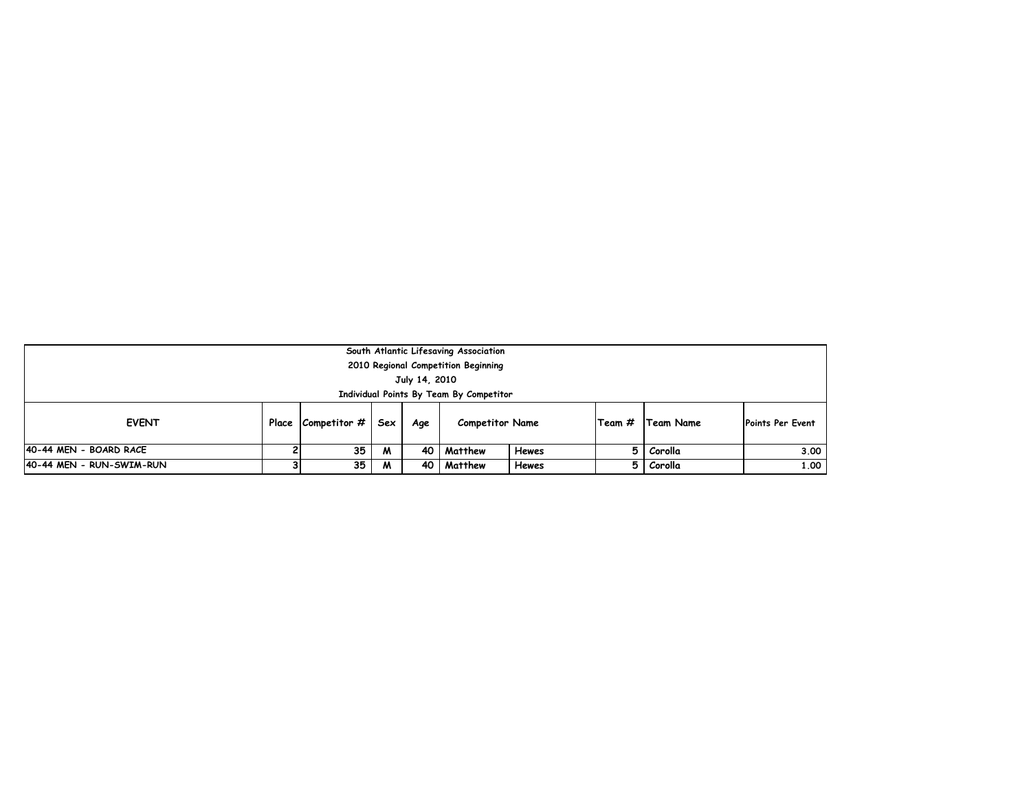| South Atlantic Lifesaving Association<br>2010 Regional Competition Beginning           |                                                                                                                   |  |  |  |  |  |  |  |  |  |  |  |
|----------------------------------------------------------------------------------------|-------------------------------------------------------------------------------------------------------------------|--|--|--|--|--|--|--|--|--|--|--|
| July 14, 2010<br>Individual Points By Team By Competitor                               |                                                                                                                   |  |  |  |  |  |  |  |  |  |  |  |
| <b>EVENT</b>                                                                           | Place $\lfloor$ Competitor $\#$<br> Team #  Team Name<br>Points Per Event<br>Sex<br><b>Competitor Name</b><br>Age |  |  |  |  |  |  |  |  |  |  |  |
| 40-44 MEN - BOARD RACE                                                                 | 35<br>Corolla<br>3.00<br>Matthew<br>Hewes<br>M<br>40 I<br>51                                                      |  |  |  |  |  |  |  |  |  |  |  |
| 40-44 MEN - RUN-SWIM-RUN<br>1.00<br>35<br>5 Corolla<br>40 Matthew<br><b>Hewes</b><br>M |                                                                                                                   |  |  |  |  |  |  |  |  |  |  |  |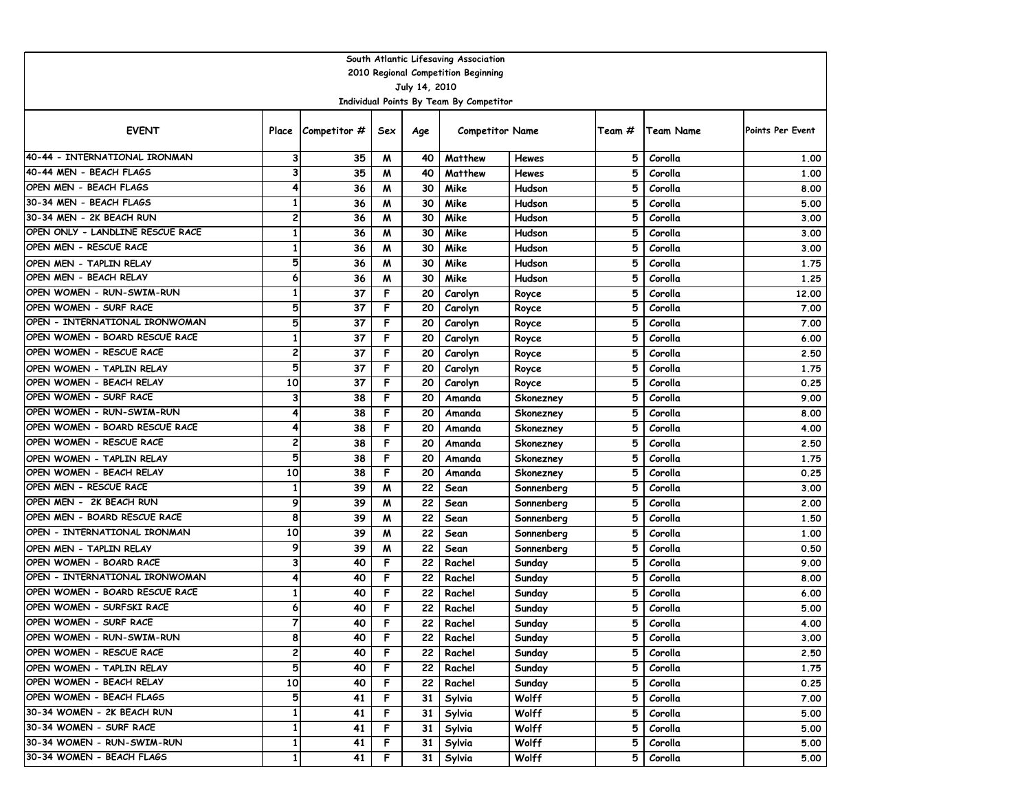| South Atlantic Lifesaving Association |                         |                    |     |                 |                                         |              |        |           |                         |  |  |  |  |
|---------------------------------------|-------------------------|--------------------|-----|-----------------|-----------------------------------------|--------------|--------|-----------|-------------------------|--|--|--|--|
| 2010 Regional Competition Beginning   |                         |                    |     |                 |                                         |              |        |           |                         |  |  |  |  |
|                                       |                         |                    |     | July 14, 2010   |                                         |              |        |           |                         |  |  |  |  |
|                                       |                         |                    |     |                 | Individual Points By Team By Competitor |              |        |           |                         |  |  |  |  |
| <b>EVENT</b>                          |                         | Place Competitor # | Sex | Age             | <b>Competitor Name</b>                  |              | Team # | Team Name | <b>Points Per Event</b> |  |  |  |  |
| 40-44 - INTERNATIONAL IRONMAN         | 3                       | 35                 | M   | 40              | Matthew                                 | Hewes        | 5      | Corolla   | 1.00                    |  |  |  |  |
| 40-44 MEN - BEACH FLAGS               | 3                       | 35                 | M   | 40              | Matthew                                 | <b>Hewes</b> | 5      | Corolla   | 1.00                    |  |  |  |  |
| OPEN MEN - BEACH FLAGS                | 4                       | 36                 | M   | 30              | Mike                                    | Hudson       | 5      | Corolla   | 8.00                    |  |  |  |  |
| 30-34 MEN - BEACH FLAGS               | $\mathbf{1}$            | 36                 | M   | 30              | Mike                                    | Hudson       | 5      | Corolla   | 5.00                    |  |  |  |  |
| 30-34 MEN - 2K BEACH RUN              | 2                       | 36                 | M   | 30              | Mike                                    | Hudson       | 5      | Corolla   | 3.00                    |  |  |  |  |
| OPEN ONLY - LANDLINE RESCUE RACE      | $\mathbf{1}$            | 36                 | M   | 30              | Mike                                    | Hudson       | 5      | Corolla   | 3.00                    |  |  |  |  |
| OPEN MEN - RESCUE RACE                | $\mathbf{1}$            | 36                 | M   | 30              | Mike                                    | Hudson       | 5      | Corolla   | 3.00                    |  |  |  |  |
| OPEN MEN - TAPLIN RELAY               | 5                       | 36                 | M   | 30              | Mike                                    | Hudson       | 5      | Corolla   | 1.75                    |  |  |  |  |
| OPEN MEN - BEACH RELAY                | 6                       | 36                 | M   | 30              | Mike                                    | Hudson       | 5      | Corolla   | 1.25                    |  |  |  |  |
| OPEN WOMEN - RUN-SWIM-RUN             | $\mathbf{1}$            | 37                 | F   | 20              | Carolyn                                 | Royce        | 5      | Corolla   | 12.00                   |  |  |  |  |
| OPEN WOMEN - SURF RACE                | 5                       | 37                 | F   | 20              | Carolyn                                 | Royce        | 5      | Corolla   | 7.00                    |  |  |  |  |
| OPEN - INTERNATIONAL IRONWOMAN        | 5                       | 37                 | F   | 20              | Carolyn                                 | Royce        | 5      | Corolla   | 7.00                    |  |  |  |  |
| OPEN WOMEN - BOARD RESCUE RACE        | $\mathbf{1}$            | 37                 | F   | 20              | Carolyn                                 | Royce        | 5      | Corolla   | 6.00                    |  |  |  |  |
| OPEN WOMEN - RESCUE RACE              | 2                       | 37                 | F   | 20              | Carolyn                                 | Royce        | 5      | Corolla   | 2.50                    |  |  |  |  |
| OPEN WOMEN - TAPLIN RELAY             | 5                       | 37                 | F   | 20              | Carolyn                                 | Royce        | 5      | Corolla   | 1.75                    |  |  |  |  |
| OPEN WOMEN - BEACH RELAY              | 10                      | 37                 | F   | 20              | Carolyn                                 | Royce        | 5      | Corolla   | 0.25                    |  |  |  |  |
| OPEN WOMEN - SURF RACE                | 3                       | 38                 | F   | 20              | Amanda                                  | Skonezney    | 5      | Corolla   | 9.00                    |  |  |  |  |
| OPEN WOMEN - RUN-SWIM-RUN             | 4                       | 38                 | F   | 20              | Amanda                                  | Skonezney    | 5      | Corolla   | 8.00                    |  |  |  |  |
| OPEN WOMEN - BOARD RESCUE RACE        | 4                       | 38                 | F   | 20              | Amanda                                  | Skonezney    | 5      | Corolla   | 4.00                    |  |  |  |  |
| OPEN WOMEN - RESCUE RACE              | $\overline{\mathbf{c}}$ | 38                 | F   | 20              | Amanda                                  | Skonezney    | 5      | Corolla   | 2.50                    |  |  |  |  |
| OPEN WOMEN - TAPLIN RELAY             | 5                       | 38                 | F   | 20              | Amanda                                  | Skonezney    | 5      | Corolla   | 1.75                    |  |  |  |  |
| OPEN WOMEN - BEACH RELAY              | 10                      | 38                 | F   | 20              | Amanda                                  | Skonezney    | 5      | Corolla   | 0.25                    |  |  |  |  |
| OPEN MEN - RESCUE RACE                | 1                       | 39                 | M   | 22              | Sean                                    | Sonnenberg   | 5      | Corolla   | 3.00                    |  |  |  |  |
| OPEN MEN - 2K BEACH RUN               | 9                       | 39                 | M   | 22              | Sean                                    | Sonnenberg   | 5      | Corolla   | 2.00                    |  |  |  |  |
| OPEN MEN - BOARD RESCUE RACE          | 8                       | 39                 | M   | 22              | Sean                                    | Sonnenberg   | 5      | Corolla   | 1.50                    |  |  |  |  |
| OPEN - INTERNATIONAL IRONMAN          | 10                      | 39                 | M   | 22              | Sean                                    | Sonnenberg   | 5      | Corolla   | 1.00                    |  |  |  |  |
| OPEN MEN - TAPLIN RELAY               | 9                       | 39                 | M   | 22              | Sean                                    | Sonnenberg   | 5      | Corolla   | 0.50                    |  |  |  |  |
| OPEN WOMEN - BOARD RACE               | 3                       | 40                 | F   | 22              | Rachel                                  | Sunday       | 5      | Corolla   | 9.00                    |  |  |  |  |
| OPEN - INTERNATIONAL IRONWOMAN        | 4                       | 40                 | F   | 22              | Rachel                                  | Sunday       | 5      | Corolla   | 8.00                    |  |  |  |  |
| OPEN WOMEN - BOARD RESCUE RACE        | 1                       | 40                 | F   | 22              | Rachel                                  | Sunday       | 5      | Corolla   | 6.00                    |  |  |  |  |
| OPEN WOMEN - SURFSKI RACE             | 6                       | 40                 | F   | 22              | Rachel                                  | Sunday       | 5      | Corolla   | 5.00                    |  |  |  |  |
| OPEN WOMEN - SURF RACE                | $\overline{7}$          | 40                 | F   | 22              | Rachel                                  | Sunday       | 5      | Corolla   | 4.00                    |  |  |  |  |
| OPEN WOMEN - RUN-SWIM-RUN             | 8                       | 40                 | F   | 22              | Rachel                                  | Sunday       | 5      | Corolla   | 3.00                    |  |  |  |  |
| OPEN WOMEN - RESCUE RACE              | $\overline{\mathbf{c}}$ | 40                 | F   | 22              | Rachel                                  | Sunday       | 5      | Corolla   | 2.50                    |  |  |  |  |
| OPEN WOMEN - TAPLIN RELAY             | 5                       | 40                 | F   | 22 <sub>1</sub> | Rachel                                  | Sunday       | 5      | Corolla   | 1.75                    |  |  |  |  |
| OPEN WOMEN - BEACH RELAY              | 10                      | 40                 | F   | 22 <sub>1</sub> | Rachel                                  | Sunday       | 5      | Corolla   | 0.25                    |  |  |  |  |
| OPEN WOMEN - BEACH FLAGS              | 5                       | 41                 | F   | 31 I            | Sylvia                                  | Wolff        | 5      | Corolla   | 7.00                    |  |  |  |  |
| 30-34 WOMEN - 2K BEACH RUN            | $\mathbf{1}$            | 41                 | F   |                 | 31 Sylvia                               | Wolff        | 5      | Corolla   | 5.00                    |  |  |  |  |
| 30-34 WOMEN - SURF RACE               | 1                       | 41                 | F   |                 | 31 Sylvia                               | Wolff        | 5      | Corolla   | 5.00                    |  |  |  |  |
| 30-34 WOMEN - RUN-SWIM-RUN            | $\mathbf{1}$            | 41                 | F   | 31              | Sylvia                                  | Wolff        | 5      | Corolla   | 5.00                    |  |  |  |  |
| 30-34 WOMEN - BEACH FLAGS             | $\mathbf{1}$            | 41                 | F   | 31              | Sylvia                                  | Wolff        | 5      | Corolla   | 5.00                    |  |  |  |  |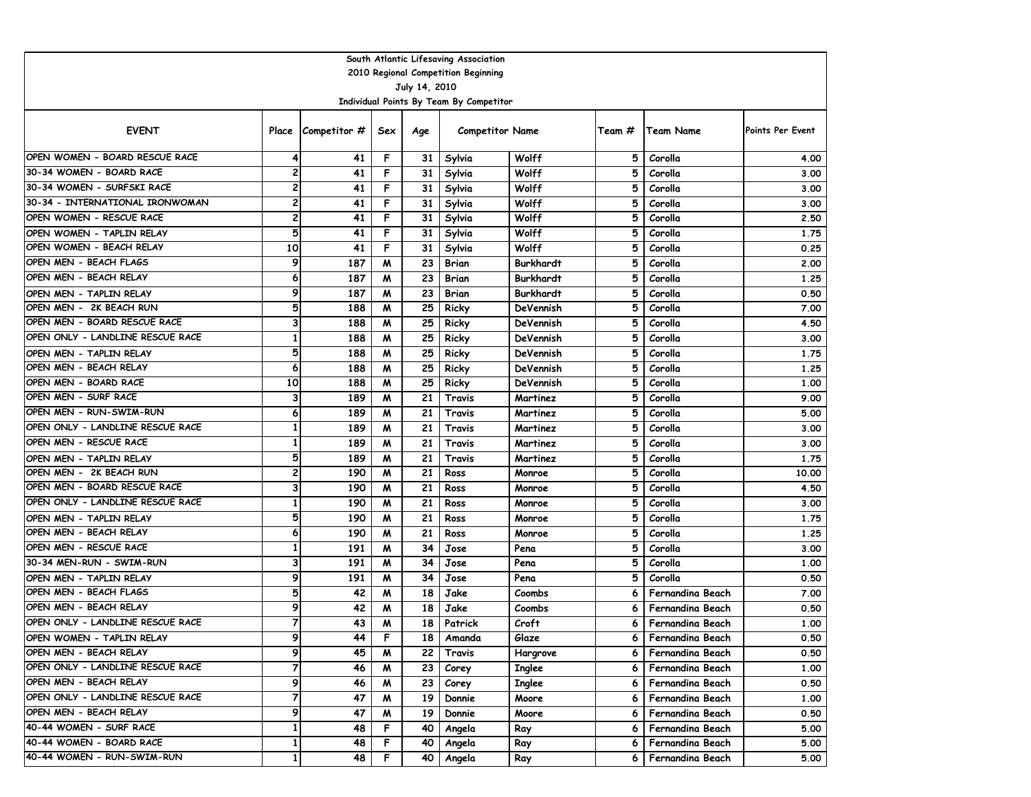| South Atlantic Lifesaving Association              |                              |                    |        |          |                                         |                  |        |                         |                         |  |  |  |  |
|----------------------------------------------------|------------------------------|--------------------|--------|----------|-----------------------------------------|------------------|--------|-------------------------|-------------------------|--|--|--|--|
| 2010 Regional Competition Beginning                |                              |                    |        |          |                                         |                  |        |                         |                         |  |  |  |  |
| July 14, 2010                                      |                              |                    |        |          |                                         |                  |        |                         |                         |  |  |  |  |
|                                                    |                              |                    |        |          | Individual Points By Team By Competitor |                  |        |                         |                         |  |  |  |  |
| <b>EVENT</b>                                       |                              | Place Competitor # | Sex    | Age      | <b>Competitor Name</b>                  |                  | Team # | Team Name               | <b>Points Per Event</b> |  |  |  |  |
| OPEN WOMEN - BOARD RESCUE RACE                     | 4                            | 41                 | F      | 31       | Sylvia                                  | Wolff            | 5      | Corolla                 | 4.00                    |  |  |  |  |
| 30-34 WOMEN - BOARD RACE                           | 2                            | 41                 | F      | 31       | Sylvia                                  | Wolff            | 5      | Corolla                 | 3.00                    |  |  |  |  |
| 30-34 WOMEN - SURFSKI RACE                         | 2                            | 41                 | F      | 31       | Sylvia                                  | Wolff            | 5      | Corolla                 | 3.00                    |  |  |  |  |
| 30-34 - INTERNATIONAL IRONWOMAN                    | 2                            | 41                 | F      | 31       | Sylvia                                  | Wolff            | 5      | Corolla                 | 3.00                    |  |  |  |  |
| OPEN WOMEN - RESCUE RACE                           | 2                            | 41                 | F      | 31       | Sylvia                                  | Wolff            | 5      | Corolla                 | 2.50                    |  |  |  |  |
| OPEN WOMEN - TAPLIN RELAY                          | 5                            | 41                 | F      | 31       | Sylvia                                  | Wolff            | 5      | Corolla                 | 1.75                    |  |  |  |  |
| OPEN WOMEN - BEACH RELAY                           | $\overline{10}$              | 41                 | F      | 31       | Sylvia                                  | Wolff            | 5      | Corolla                 | 0.25                    |  |  |  |  |
| OPEN MEN - BEACH FLAGS                             | 9                            | 187                | M      | 23       | Brian                                   | <b>Burkhardt</b> | 5      | Corolla                 | 2.00                    |  |  |  |  |
| OPEN MEN - BEACH RELAY                             | 6                            | 187                | W      | 23       | <b>Brian</b>                            | <b>Burkhardt</b> | 5      | Corolla                 | 1.25                    |  |  |  |  |
| OPEN MEN - TAPLIN RELAY                            | 9                            | 187                | M      | 23       | <b>Brian</b>                            | <b>Burkhardt</b> | 5      | Corolla                 | 0.50                    |  |  |  |  |
| OPEN MEN - 2K BEACH RUN                            | 5                            | 188                | W      | 25       | Ricky                                   | DeVennish        | 5      | Corolla                 | 7.00                    |  |  |  |  |
| OPEN MEN - BOARD RESCUE RACE                       | 3                            | 188                | W      | 25       | Ricky                                   | DeVennish        | 5      | Corolla                 | 4.50                    |  |  |  |  |
| OPEN ONLY - LANDLINE RESCUE RACE                   | $\mathbf{1}$                 | 188                | M      | 25       | Ricky                                   | <b>DeVennish</b> | 5      | Corolla                 | 3.00                    |  |  |  |  |
| OPEN MEN - TAPLIN RELAY                            | 5                            | 188                | M      | 25       | Ricky                                   | DeVennish        | 5      | Corolla                 | 1.75                    |  |  |  |  |
| OPEN MEN - BEACH RELAY                             | 6                            | 188                | M      | 25       | Ricky                                   | DeVennish        | 5      | Corolla                 | 1.25                    |  |  |  |  |
| OPEN MEN - BOARD RACE                              | 10                           | 188                | M      | 25       | Ricky                                   | <b>DeVennish</b> | 5      | Corolla                 | 1.00                    |  |  |  |  |
| OPEN MEN - SURF RACE                               | 3                            | 189                | M      | 21       | Travis                                  | Martinez         | 5      | Corolla                 | 9.00                    |  |  |  |  |
| OPEN MEN - RUN-SWIM-RUN                            | 6                            | 189                | м      | 21       | Travis                                  | Martinez         | 5      | Corolla                 | 5.00                    |  |  |  |  |
| OPEN ONLY - LANDLINE RESCUE RACE                   | $\mathbf{1}$                 | 189                | M      | 21       | Travis                                  | Martinez         | 5      | Corolla                 | 3.00                    |  |  |  |  |
| OPEN MEN - RESCUE RACE                             | $\mathbf{1}$                 | 189                | M      | 21       | Travis                                  | Martinez         | 5      | Corolla                 | 3.00                    |  |  |  |  |
| OPEN MEN - TAPLIN RELAY<br>OPEN MEN - 2K BEACH RUN | 5<br>$\overline{\mathbf{c}}$ | 189                | W      | 21       | Travis                                  | Martinez         | 5      | Corolla                 | 1.75                    |  |  |  |  |
| OPEN MEN - BOARD RESCUE RACE                       | 3                            | 190<br>190         | M      | 21<br>21 | Ross                                    | Monroe           | 5      | Corolla                 | 10.00                   |  |  |  |  |
| OPEN ONLY - LANDLINE RESCUE RACE                   | 1                            |                    | M      | 21       | Ross                                    | Monroe           | 5<br>5 | Corolla                 | 4.50                    |  |  |  |  |
| OPEN MEN - TAPLIN RELAY                            | 5                            | 190<br>190         | M<br>M | 21       | Ross<br>Ross                            | Monroe<br>Monroe | 5      | Corolla<br>Corolla      | 3.00<br>1.75            |  |  |  |  |
| OPEN MEN - BEACH RELAY                             | 6                            | 190                | M      | 21       | Ross                                    | Monroe           | 5      | Corolla                 | 1.25                    |  |  |  |  |
| OPEN MEN - RESCUE RACE                             | 1                            | 191                | M      | 34       | Jose                                    | Pena             | 5      | Corolla                 | 3.00                    |  |  |  |  |
| 30-34 MEN-RUN - SWIM-RUN                           | 3                            | 191                | M      | 34       | Jose                                    | Pena             | 5      | Corolla                 | 1.00                    |  |  |  |  |
| OPEN MEN - TAPLIN RELAY                            | 9                            | 191                | M      | 34       | Jose                                    | Pena             | 5      | Corolla                 | 0.50                    |  |  |  |  |
| OPEN MEN - BEACH FLAGS                             | 5                            | 42                 | M      | 18       | Jake                                    | Coombs           | 6      | Fernandina Beach        | 7.00                    |  |  |  |  |
| OPEN MEN - BEACH RELAY                             | 9                            | 42                 | M      | 18       | Jake                                    | Coombs           | 6      | <b>Fernandina Beach</b> | 0.50                    |  |  |  |  |
| OPEN ONLY - LANDLINE RESCUE RACE                   | $\overline{7}$               | 43                 | M      | 18       | Patrick                                 | Croft            | 6      | Fernandina Beach        | 1.00                    |  |  |  |  |
| OPEN WOMEN - TAPLIN RELAY                          | 9                            | 44                 | F      | 18       | Amanda                                  | Glaze            | o      | Fernandina Beach        | 0.50                    |  |  |  |  |
| OPEN MEN - BEACH RELAY                             | 9                            | 45                 | M      | 22       | Travis                                  | Hargrove         | 6      | Fernandina Beach        | 0.50                    |  |  |  |  |
| OPEN ONLY - LANDLINE RESCUE RACE                   | $\overline{7}$               | 46                 | M      | 23       | Corey                                   | <b>Inglee</b>    | 6      | Fernandina Beach        | 1.00                    |  |  |  |  |
| OPEN MEN - BEACH RELAY                             | 9                            | 46                 | M      | 23       | Corey                                   | <b>Inglee</b>    | 6      | Fernandina Beach        | 0.50                    |  |  |  |  |
| OPEN ONLY - LANDLINE RESCUE RACE                   | 7                            | 47                 | M      | 19       | Donnie                                  | Moore            | 6      | Fernandina Beach        | 1.00                    |  |  |  |  |
| OPEN MEN - BEACH RELAY                             | 9                            | 47                 | M      | 19       | Donnie                                  | Moore            | 6      | Fernandina Beach        | 0.50                    |  |  |  |  |
| 40-44 WOMEN - SURF RACE                            | $\mathbf{1}$                 | 48                 | F      | 40       | Angela                                  | Ray              | 6      | Fernandina Beach        | 5.00                    |  |  |  |  |
| 40-44 WOMEN - BOARD RACE                           | $\mathbf{1}$                 | 48                 | F      | 40       | Angela                                  | Ray              | 6      | Fernandina Beach        | 5.00                    |  |  |  |  |
| 40-44 WOMEN - RUN-SWIM-RUN                         | $\mathbf{1}$                 | 48                 | F.     | 40 l     | Angela                                  | Ray              | 6.     | Fernandina Beach        | 5.00                    |  |  |  |  |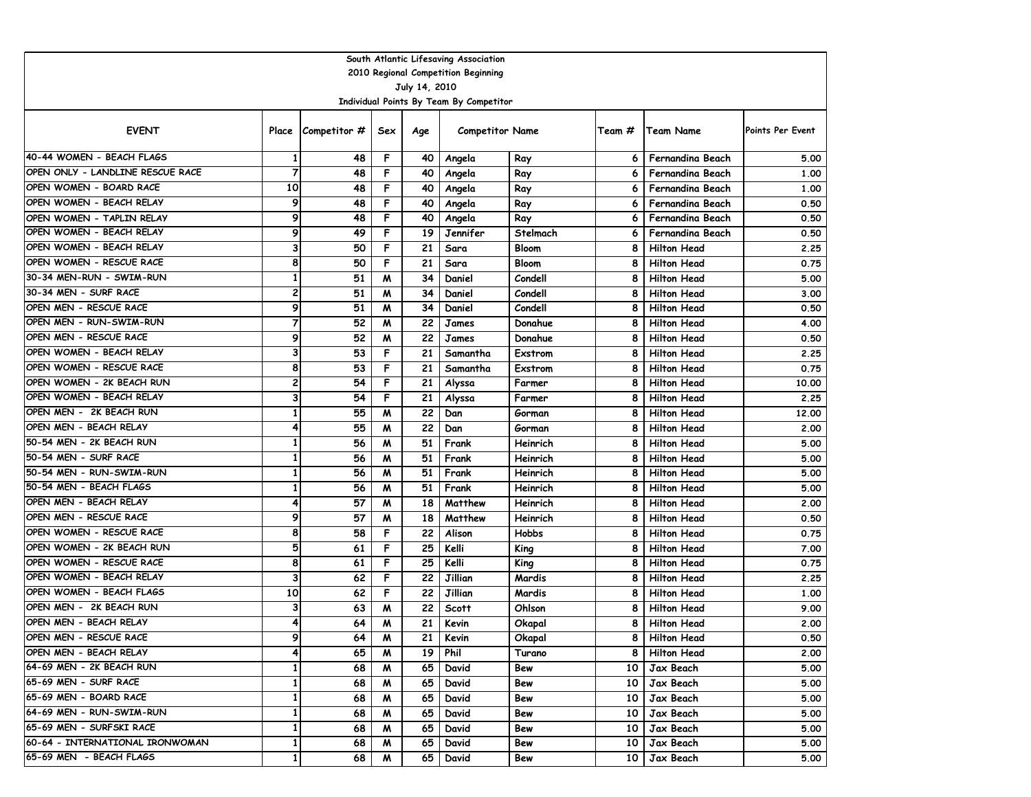| South Atlantic Lifesaving Association                    |                              |                    |        |                 |                        |                  |                 |                                          |                  |  |  |  |  |
|----------------------------------------------------------|------------------------------|--------------------|--------|-----------------|------------------------|------------------|-----------------|------------------------------------------|------------------|--|--|--|--|
| 2010 Regional Competition Beginning                      |                              |                    |        |                 |                        |                  |                 |                                          |                  |  |  |  |  |
| July 14, 2010<br>Individual Points By Team By Competitor |                              |                    |        |                 |                        |                  |                 |                                          |                  |  |  |  |  |
|                                                          |                              |                    |        |                 |                        |                  |                 |                                          |                  |  |  |  |  |
| <b>EVENT</b>                                             |                              | Place Competitor # | Sex    | Age             | <b>Competitor Name</b> |                  | Team #          | <b>Team Name</b>                         | Points Per Event |  |  |  |  |
| 40-44 WOMEN - BEACH FLAGS                                | 1                            | 48                 | F      | 40              | Angela                 | Ray              | 6               | Fernandina Beach                         | 5.00             |  |  |  |  |
| OPEN ONLY - LANDLINE RESCUE RACE                         | $\overline{7}$               | 48                 | F      | 40              | Angela                 | Ray              | 6               | Fernandina Beach                         | 1.00             |  |  |  |  |
| OPEN WOMEN - BOARD RACE                                  | 10                           | 48                 | F      | 40              | Angela                 | Ray              | 6               | <b>Fernandina Beach</b>                  | 1.00             |  |  |  |  |
| OPEN WOMEN - BEACH RELAY                                 | 9                            | 48                 | F      | 40              | Angela                 | Ray              | 6               | Fernandina Beach                         | 0.50             |  |  |  |  |
| OPEN WOMEN - TAPLIN RELAY                                | 9                            | 48                 | F      | 40              | Angela                 | Ray              | 6               | Fernandina Beach                         | 0.50             |  |  |  |  |
| OPEN WOMEN - BEACH RELAY                                 | 9                            | 49                 | F      | 19              | Jennifer               | Stelmach         | 6               | Fernandina Beach                         | 0.50             |  |  |  |  |
| OPEN WOMEN - BEACH RELAY                                 | 3                            | 50                 | F      | 21              | Sara                   | <b>Bloom</b>     | 8               | <b>Hilton Head</b>                       | 2.25             |  |  |  |  |
| OPEN WOMEN - RESCUE RACE                                 | 8                            | 50                 | F      | 21              | Sara                   | <b>Bloom</b>     | 8               | <b>Hilton Head</b>                       | 0.75             |  |  |  |  |
| 30-34 MEN-RUN - SWIM-RUN                                 | $\mathbf{1}$                 | 51                 | M      | 34              | Daniel                 | Condell          | 8               | <b>Hilton Head</b>                       | 5.00             |  |  |  |  |
| 30-34 MEN - SURF RACE                                    | $\overline{\mathbf{c}}$      | 51                 | M      | 34              | Daniel                 | Condell          | 8               | <b>Hilton Head</b>                       | 3.00             |  |  |  |  |
| OPEN MEN - RESCUE RACE                                   | 9                            | 51                 | M      | 34              | Daniel                 | Condell          | 8               | <b>Hilton Head</b>                       | 0.50             |  |  |  |  |
| OPEN MEN - RUN-SWIM-RUN                                  | $\overline{7}$               | 52                 | W      | 22              | James                  | Donahue          | 8               | <b>Hilton Head</b>                       | 4.00             |  |  |  |  |
| OPEN MEN - RESCUE RACE                                   | 9                            | 52                 | M      | 22              | James                  | Donahue          | 8               | <b>Hilton Head</b>                       | 0.50             |  |  |  |  |
| OPEN WOMEN - BEACH RELAY<br>OPEN WOMEN - RESCUE RACE     | 3                            | 53                 | F      | 21              | Samantha               | Exstrom          | 8               | <b>Hilton Head</b>                       | 2.25             |  |  |  |  |
| OPEN WOMEN - 2K BEACH RUN                                | 8<br>$\overline{\mathbf{c}}$ | 53                 | F<br>F | 21              | Samantha               | Exstrom          | 8               | <b>Hilton Head</b>                       | 0.75             |  |  |  |  |
| OPEN WOMEN - BEACH RELAY                                 | 3                            | 54<br>54           | F      | 21<br>21        | Alyssa                 | Farmer           | 8<br>8          | <b>Hilton Head</b><br><b>Hilton Head</b> | 10.00            |  |  |  |  |
| OPEN MEN - 2K BEACH RUN                                  | 1                            | 55                 | M      | 22              | Alyssa<br>Dan          | Farmer           | 8               | <b>Hilton Head</b>                       | 2.25<br>12.00    |  |  |  |  |
| OPEN MEN - BEACH RELAY                                   | 4                            | 55                 | M      | 22              | Dan                    | Gorman<br>Gorman | 8               | <b>Hilton Head</b>                       | 2.00             |  |  |  |  |
| 50-54 MEN - 2K BEACH RUN                                 | $\mathbf{1}$                 | 56                 | M      | 51              | Frank                  | Heinrich         | 8               | <b>Hilton Head</b>                       | 5.00             |  |  |  |  |
| 50-54 MEN - SURF RACE                                    | $\mathbf{1}$                 | 56                 | M      | 51              | Frank                  | Heinrich         | 8               | <b>Hilton Head</b>                       | 5.00             |  |  |  |  |
| 50-54 MEN - RUN-SWIM-RUN                                 | $\mathbf{1}$                 | 56                 | M      | 51              | Frank                  | Heinrich         | 8               | <b>Hilton Head</b>                       | 5.00             |  |  |  |  |
| 50-54 MEN - BEACH FLAGS                                  | $\mathbf{1}$                 | 56                 | M      | 51              | Frank                  | Heinrich         | 8               | <b>Hilton Head</b>                       | 5.00             |  |  |  |  |
| OPEN MEN - BEACH RELAY                                   | 4                            | 57                 | M      | 18              | Matthew                | Heinrich         | 8               | <b>Hilton Head</b>                       | 2.00             |  |  |  |  |
| OPEN MEN - RESCUE RACE                                   | 9                            | 57                 | W      | 18              | Matthew                | Heinrich         | 8               | <b>Hilton Head</b>                       | 0.50             |  |  |  |  |
| OPEN WOMEN - RESCUE RACE                                 | 8                            | 58                 | F      | 22              | Alison                 | Hobbs            | 8               | <b>Hilton Head</b>                       | 0.75             |  |  |  |  |
| OPEN WOMEN - 2K BEACH RUN                                | 5                            | 61                 | F      | 25              | Kelli                  | King             | 8               | <b>Hilton Head</b>                       | 7.00             |  |  |  |  |
| OPEN WOMEN - RESCUE RACE                                 | 8                            | 61                 | F      | 25              | Kelli                  | King             | 8               | <b>Hilton Head</b>                       | 0.75             |  |  |  |  |
| OPEN WOMEN - BEACH RELAY                                 | 3                            | 62                 | F      | 22              | Jillian                | Mardis           | 8               | <b>Hilton Head</b>                       | 2.25             |  |  |  |  |
| OPEN WOMEN - BEACH FLAGS                                 | 10                           | 62                 | F      | 22              | Jillian                | Mardis           | 8               | <b>Hilton Head</b>                       | 1.00             |  |  |  |  |
| OPEN MEN - 2K BEACH RUN                                  | 3                            | 63                 | M      | 22              | <b>Scott</b>           | Ohlson           | 8               | <b>Hilton Head</b>                       | 9.00             |  |  |  |  |
| OPEN MEN - BEACH RELAY                                   | 4                            | 64                 | M      | 21              | Kevin                  | Okapal           | 8               | <b>Hilton Head</b>                       | 2.00             |  |  |  |  |
| OPEN MEN - RESCUE RACE                                   | 9                            | 64                 | M      | 21 I            | Kevin                  | Okapal           |                 | 8   Hilton Head                          | 0.50             |  |  |  |  |
| OPEN MEN - BEACH RELAY                                   | 4                            | 65                 | M      |                 | $19$ Phil              | Turano           | 8               | Hilton Head                              | 2.00             |  |  |  |  |
| 64-69 MEN - 2K BEACH RUN                                 | $\mathbf{1}$                 | 68                 | M      | 65 I            | David                  | Bew              |                 | 10 Jax Beach                             | 5.00             |  |  |  |  |
| 65-69 MEN - SURF RACE                                    | $\mathbf{1}$                 | 68                 | M      | 65              | David                  | Bew              |                 | 10 Jax Beach                             | 5.00             |  |  |  |  |
| 65-69 MEN - BOARD RACE                                   | 1                            | 68                 | M      | 65              | David                  | Bew              | 10 <sub>1</sub> | Jax Beach                                | 5.00             |  |  |  |  |
| 64-69 MEN - RUN-SWIM-RUN                                 | 1                            | 68                 | M      | 65              | David                  | Bew              | 10 <sub>1</sub> | Jax Beach                                | 5.00             |  |  |  |  |
| 65-69 MEN - SURFSKI RACE                                 | 1                            | 68                 | M      | 65 I            | David                  | Bew              |                 | 10   Jax Beach                           | 5.00             |  |  |  |  |
| 60-64 - INTERNATIONAL IRONWOMAN                          | 1                            | 68                 | M      | 65              | David                  | Bew              |                 | 10 Jax Beach                             | 5.00             |  |  |  |  |
| 65-69 MEN - BEACH FLAGS                                  | $\mathbf{1}$                 | 68                 | M      | 65 <sub>1</sub> | David                  | Bew              |                 | 10 Jax Beach                             | 5.00             |  |  |  |  |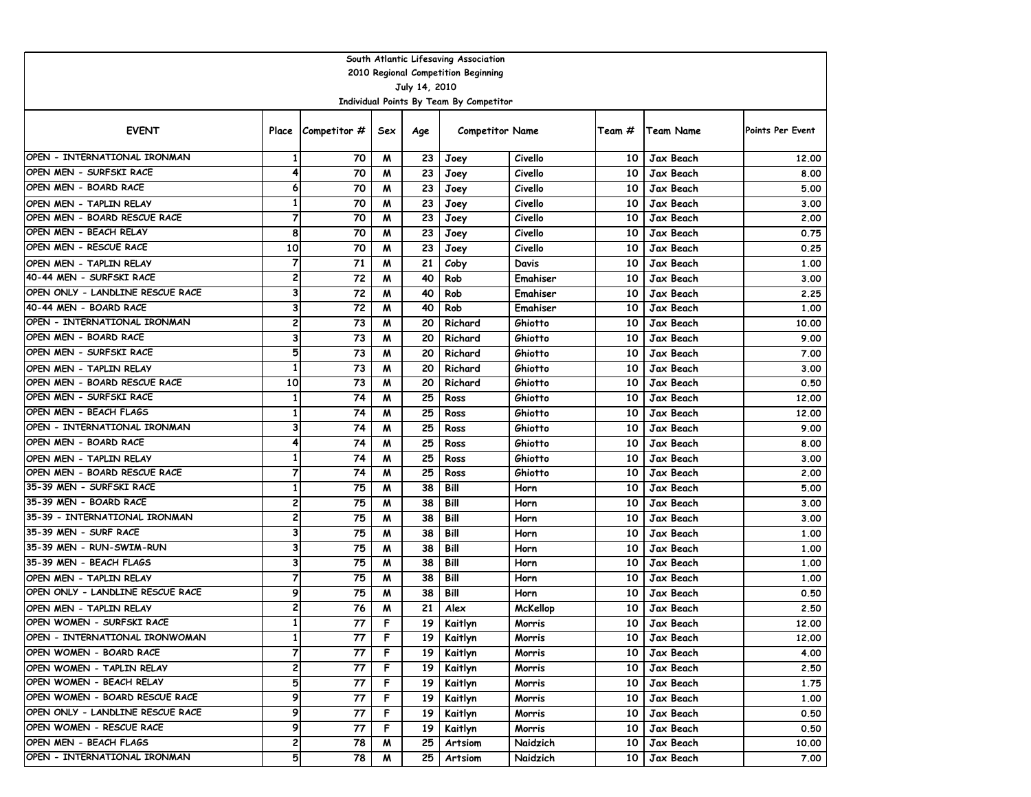|                                                   |                         |                             |        |                 | South Atlantic Lifesaving Association   |                    |          |                        |                  |  |  |  |
|---------------------------------------------------|-------------------------|-----------------------------|--------|-----------------|-----------------------------------------|--------------------|----------|------------------------|------------------|--|--|--|
| 2010 Regional Competition Beginning               |                         |                             |        |                 |                                         |                    |          |                        |                  |  |  |  |
| July 14, 2010                                     |                         |                             |        |                 |                                         |                    |          |                        |                  |  |  |  |
|                                                   |                         |                             |        |                 | Individual Points By Team By Competitor |                    |          |                        |                  |  |  |  |
| <b>EVENT</b>                                      |                         | Place $\sqrt{\frac{Cm}{m}}$ | Sex    | Age             | <b>Competitor Name</b>                  |                    | Team #   | Team Name              | Points Per Event |  |  |  |
| OPEN - INTERNATIONAL IRONMAN                      | 1                       | 70                          | M      | 23 <sub>1</sub> | Joey                                    | Civello            | 10       | Jax Beach              | 12.00            |  |  |  |
| OPEN MEN - SURFSKI RACE                           | 4                       | 70                          | M      | 23              | Joey                                    | Civello            | 10       | Jax Beach              | 8.00             |  |  |  |
| OPEN MEN - BOARD RACE                             | 6                       | 70                          | M      | 23              | Joey                                    | Civello            | 10       | Jax Beach              | 5.00             |  |  |  |
| OPEN MEN - TAPLIN RELAY                           | $\mathbf{1}$            | 70                          | M      | 23              | Joey                                    | Civello            | 10       | Jax Beach              | 3.00             |  |  |  |
| OPEN MEN - BOARD RESCUE RACE                      | 7                       | 70                          | W      | 23              | Joey                                    | Civello            | 10       | Jax Beach              | 2.00             |  |  |  |
| OPEN MEN - BEACH RELAY                            | 8                       | 70                          | M      | 23              | Joey                                    | Civello            | 10       | Jax Beach              | 0.75             |  |  |  |
| OPEN MEN - RESCUE RACE                            | $\overline{10}$         | 70                          | M      | 23              | Joey                                    | Civello            | 10       | Jax Beach              | 0.25             |  |  |  |
| OPEN MEN - TAPLIN RELAY                           | $\overline{7}$          | 71                          | W      | 21              | Coby                                    | Davis              | 10       | Jax Beach              | 1.00             |  |  |  |
| 40-44 MEN - SURFSKI RACE                          | $\overline{\mathbf{c}}$ | 72                          | W      | 40              | Rob                                     | Emahiser           | 10       | Jax Beach              | 3.00             |  |  |  |
| OPEN ONLY - LANDLINE RESCUE RACE                  | 3                       | 72                          | W      | 40              | Rob                                     | Emahiser           | 10       | Jax Beach              | 2.25             |  |  |  |
| 40-44 MEN - BOARD RACE                            | 3                       | 72                          | W      | 40              | Rob                                     | Emahiser           | 10       | Jax Beach              | 1.00             |  |  |  |
| OPEN - INTERNATIONAL IRONMAN                      | 2                       | 73                          | W      | 20              | Richard                                 | Ghiotto            | 10       | Jax Beach              | 10.00            |  |  |  |
| OPEN MEN - BOARD RACE                             | 3                       | 73                          | M      | 20              | Richard                                 | Ghiotto            | 10       | Jax Beach              | 9.00             |  |  |  |
| OPEN MEN - SURFSKI RACE                           | 5                       | 73                          | M      | 20              | Richard                                 | Ghiotto            | 10       | Jax Beach              | 7.00             |  |  |  |
| OPEN MEN - TAPLIN RELAY                           | $\mathbf{1}$            | 73                          | M      | 20              | Richard                                 | Ghiotto            | 10       | Jax Beach              | 3.00             |  |  |  |
| OPEN MEN - BOARD RESCUE RACE                      | 10                      | 73                          | M      | 20              | Richard                                 | Ghiotto            | 10       | Jax Beach              | 0.50             |  |  |  |
| OPEN MEN - SURFSKI RACE<br>OPEN MEN - BEACH FLAGS | $\mathbf{1}$            | 74                          | W      | 25              | Ross                                    | Ghiotto            | 10       | Jax Beach              | 12.00            |  |  |  |
| OPEN - INTERNATIONAL IRONMAN                      | 1<br>3                  | 74                          | м      | 25              | Ross                                    | Ghiotto            | 10       | Jax Beach              | 12.00            |  |  |  |
| OPEN MEN - BOARD RACE                             | 4                       | 74<br>74                    | M      | 25<br>25        | Ross                                    | Ghiotto            | 10       | Jax Beach              | 9.00             |  |  |  |
| OPEN MEN - TAPLIN RELAY                           | $\mathbf{1}$            | 74                          | м<br>W | 25              | Ross<br>Ross                            | Ghiotto<br>Ghiotto | 10<br>10 | Jax Beach<br>Jax Beach | 8.00<br>3.00     |  |  |  |
| OPEN MEN - BOARD RESCUE RACE                      | $\overline{7}$          | 74                          | M      | 25              | Ross                                    | Ghiotto            | 10       | Jax Beach              | 2.00             |  |  |  |
| 35-39 MEN - SURFSKI RACE                          | $\mathbf{1}$            | 75                          | W      | 38              | Bill                                    | Horn               | 10       | Jax Beach              | 5.00             |  |  |  |
| 35-39 MEN - BOARD RACE                            | 2                       | 75                          | W      | 38              | Bill                                    | Horn               | 10       | Jax Beach              | 3.00             |  |  |  |
| 35-39 - INTERNATIONAL IRONMAN                     | 2                       | 75                          | M      | 38              | Bill                                    | Horn               | 10       | Jax Beach              | 3.00             |  |  |  |
| 35-39 MEN - SURF RACE                             | 3                       | 75                          | M      | 38              | Bill                                    | Horn               | 10       | Jax Beach              | 1.00             |  |  |  |
| 35-39 MEN - RUN-SWIM-RUN                          | 3                       | 75                          | M      | 38              | Bill                                    | Horn               | 10       | Jax Beach              | 1.00             |  |  |  |
| 35-39 MEN - BEACH FLAGS                           | 3                       | 75                          | M      | 38              | Bill                                    | Horn               | 10       | Jax Beach              | 1.00             |  |  |  |
| OPEN MEN - TAPLIN RELAY                           | $\overline{7}$          | 75                          | W      | 38              | Bill                                    | Horn               | 10       | Jax Beach              | 1.00             |  |  |  |
| OPEN ONLY - LANDLINE RESCUE RACE                  | 9                       | 75                          | W      | 38              | Bill                                    | Horn               | 10       | Jax Beach              | 0.50             |  |  |  |
| OPEN MEN - TAPLIN RELAY                           | $\overline{\mathbf{c}}$ | 76                          | м      | 21              | Alex                                    | <b>McKellop</b>    | 10       | Jax Beach              | 2.50             |  |  |  |
| OPEN WOMEN - SURFSKI RACE                         | $\mathbf{1}$            | 77                          | F      | 19              | Kaitlyn                                 | Morris             | $10-10$  | Jax Beach              | 12.00            |  |  |  |
| OPEN - INTERNATIONAL IRONWOMAN                    | 1                       | 77                          | F      |                 | 19   Kaitlyn                            | Morris             |          | 10 Jax Beach           | 12.00            |  |  |  |
| OPEN WOMEN - BOARD RACE                           | $\overline{7}$          | 77                          | F      |                 | 19 Kaitlyn                              | Morris             |          | 10 Jax Beach           | 4.00             |  |  |  |
| OPEN WOMEN - TAPLIN RELAY                         | 2                       | 77                          | F      |                 | 19 Kaitlyn                              | Morris             |          | 10 Jax Beach           | 2.50             |  |  |  |
| OPEN WOMEN - BEACH RELAY                          | 5                       | 77                          | F.     |                 | 19 Kaitlyn                              | Morris             |          | 10 Jax Beach           | 1.75             |  |  |  |
| OPEN WOMEN - BOARD RESCUE RACE                    | 9                       | 77                          | F.     | 19 I            | Kaitlyn                                 | Morris             |          | 10 Jax Beach           | 1.00             |  |  |  |
| OPEN ONLY - LANDLINE RESCUE RACE                  | 9                       | 77                          | F      | 19 I            | Kaitlyn                                 | Morris             |          | 10   Jax Beach         | 0.50             |  |  |  |
| OPEN WOMEN - RESCUE RACE                          | 9                       | 77                          | F.     | 19 I            | Kaitlyn                                 | Morris             |          | 10   Jax Beach         | 0.50             |  |  |  |
| OPEN MEN - BEACH FLAGS                            | 2                       | 78                          | M      | 25 <sub>1</sub> | Artsiom                                 | Naidzich           |          | 10 Jax Beach           | 10.00            |  |  |  |
| OPEN - INTERNATIONAL IRONMAN                      | 5                       | 78                          | M      | 25 I            | Artsiom                                 | Naidzich           |          | 10 Jax Beach           | 7.00             |  |  |  |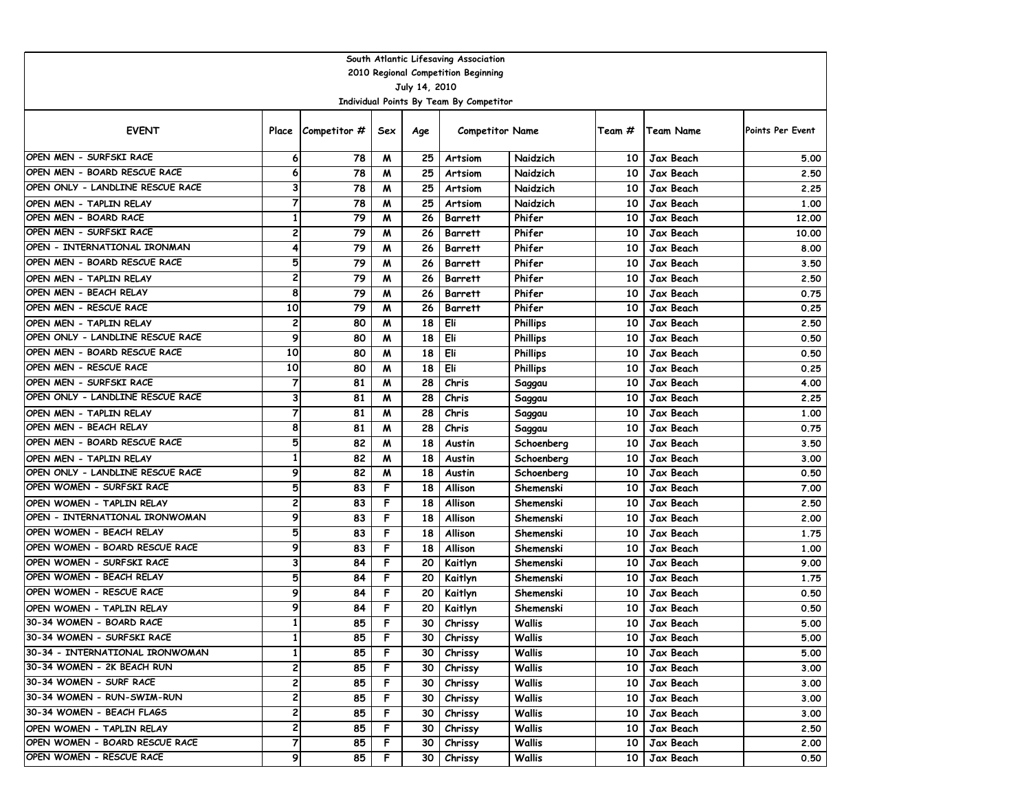| South Atlantic Lifesaving Association                       |                   |                             |        |                 |                                         |                        |          |                        |                  |  |  |  |  |
|-------------------------------------------------------------|-------------------|-----------------------------|--------|-----------------|-----------------------------------------|------------------------|----------|------------------------|------------------|--|--|--|--|
| 2010 Regional Competition Beginning                         |                   |                             |        |                 |                                         |                        |          |                        |                  |  |  |  |  |
| July 14, 2010                                               |                   |                             |        |                 |                                         |                        |          |                        |                  |  |  |  |  |
|                                                             |                   |                             |        |                 | Individual Points By Team By Competitor |                        |          |                        |                  |  |  |  |  |
| <b>EVENT</b>                                                |                   | Place $\sqrt{\frac{Cm}{m}}$ | Sex    | Age             | <b>Competitor Name</b>                  |                        | Team #   | Team Name              | Points Per Event |  |  |  |  |
| OPEN MEN - SURFSKI RACE                                     | 6                 | 78                          | M      | 25              | Artsiom                                 | Naidzich               | 10       | Jax Beach              | 5.00             |  |  |  |  |
| OPEN MEN - BOARD RESCUE RACE                                | 6                 | 78                          | M      | 25              | Artsiom                                 | Naidzich               | 10       | Jax Beach              | 2.50             |  |  |  |  |
| OPEN ONLY - LANDLINE RESCUE RACE                            | 3                 | 78                          | M      | 25              | Artsiom                                 | Naidzich               | 10       | Jax Beach              | 2.25             |  |  |  |  |
| OPEN MEN - TAPLIN RELAY                                     | 7                 | 78                          | M      | 25              | Artsiom                                 | Naidzich               | 10       | Jax Beach              | 1.00             |  |  |  |  |
| OPEN MEN - BOARD RACE                                       | 1                 | 79                          | W      | 26              | <b>Barrett</b>                          | Phifer                 | 10       | Jax Beach              | 12.00            |  |  |  |  |
| OPEN MEN - SURFSKI RACE                                     | 2                 | 79                          | M      | 26              | <b>Barrett</b>                          | Phifer                 | 10       | Jax Beach              | 10.00            |  |  |  |  |
| OPEN - INTERNATIONAL IRONMAN                                | 4                 | 79                          | M      | 26              | <b>Barrett</b>                          | Phifer                 | 10       | Jax Beach              | 8.00             |  |  |  |  |
| OPEN MEN - BOARD RESCUE RACE                                | 5                 | 79                          | M      | 26              | <b>Barrett</b>                          | Phifer                 | 10       | Jax Beach              | 3.50             |  |  |  |  |
| OPEN MEN - TAPLIN RELAY                                     | 2                 | 79                          | W      | 26              | <b>Barrett</b>                          | Phifer                 | 10       | Jax Beach              | 2.50             |  |  |  |  |
| OPEN MEN - BEACH RELAY                                      | 8                 | 79                          | W      | 26              | <b>Barrett</b>                          | Phifer                 | 10       | Jax Beach              | 0.75             |  |  |  |  |
| OPEN MEN - RESCUE RACE                                      | 10                | 79                          | W      | 26              | <b>Barrett</b>                          | Phifer                 | 10       | Jax Beach              | 0.25             |  |  |  |  |
| OPEN MEN - TAPLIN RELAY                                     | 2                 | 80                          | W      | 18              | Eli                                     | <b>Phillips</b>        | 10       | Jax Beach              | 2.50             |  |  |  |  |
| OPEN ONLY - LANDLINE RESCUE RACE                            | 9                 | 80                          | M      | 18              | Eli                                     | <b>Phillips</b>        | 10       | Jax Beach              | 0.50             |  |  |  |  |
| OPEN MEN - BOARD RESCUE RACE                                | 10                | 80                          | M      | 18              | Eli                                     | <b>Phillips</b>        | 10       | Jax Beach              | 0.50             |  |  |  |  |
| OPEN MEN - RESCUE RACE                                      | 10                | 80                          | M      | 18              | Eli                                     | <b>Phillips</b>        | 10       | Jax Beach              | 0.25             |  |  |  |  |
| OPEN MEN - SURFSKI RACE                                     | 7                 | 81                          | M      | 28              | Chris                                   | Saggau                 | 10       | Jax Beach              | 4.00             |  |  |  |  |
| OPEN ONLY - LANDLINE RESCUE RACE                            | 3                 | 81                          | W      | 28              | Chris                                   | Saggau                 | 10       | Jax Beach              | 2.25             |  |  |  |  |
| OPEN MEN - TAPLIN RELAY                                     | $\overline{7}$    | 81                          | м      | 28              | Chris                                   | Saggau                 | 10       | Jax Beach              | 1.00             |  |  |  |  |
| OPEN MEN - BEACH RELAY                                      | 8                 | 81                          | M      | 28              | Chris                                   | Saggau                 | 10       | Jax Beach              | 0.75             |  |  |  |  |
| OPEN MEN - BOARD RESCUE RACE                                | 5<br>$\mathbf{1}$ | 82                          | м      | 18              | Austin                                  | Schoenberg             | 10       | Jax Beach              | 3.50             |  |  |  |  |
| OPEN MEN - TAPLIN RELAY<br>OPEN ONLY - LANDLINE RESCUE RACE | 9                 | 82                          | W      | 18              | Austin                                  | Schoenberg             | 10       | Jax Beach              | 3.00             |  |  |  |  |
| OPEN WOMEN - SURFSKI RACE                                   | 5                 | 82<br>83                    | M<br>F | 18<br>18        | Austin                                  | Schoenberg             | 10       | Jax Beach              | 0.50             |  |  |  |  |
|                                                             | 2                 |                             | F      |                 | Allison                                 | Shemenski              | 10<br>10 | Jax Beach              | 7.00             |  |  |  |  |
| OPEN WOMEN - TAPLIN RELAY<br>OPEN - INTERNATIONAL IRONWOMAN | 9                 | 83<br>83                    | F      | 18<br>18        | Allison<br>Allison                      | Shemenski<br>Shemenski | 10       | Jax Beach<br>Jax Beach | 2.50<br>2.00     |  |  |  |  |
| OPEN WOMEN - BEACH RELAY                                    | 5                 | 83                          | F      | 18              | Allison                                 | Shemenski              | 10       | Jax Beach              | 1.75             |  |  |  |  |
| OPEN WOMEN - BOARD RESCUE RACE                              | 9                 | 83                          | F      | 18              | Allison                                 | Shemenski              | 10       | Jax Beach              | 1.00             |  |  |  |  |
| OPEN WOMEN - SURFSKI RACE                                   | 3                 | 84                          | F      | 20              | Kaitlyn                                 | Shemenski              | 10       | Jax Beach              | 9.00             |  |  |  |  |
| OPEN WOMEN - BEACH RELAY                                    | 5                 | 84                          | F      | 20              | Kaitlyn                                 | Shemenski              | 10       | Jax Beach              | 1.75             |  |  |  |  |
| OPEN WOMEN - RESCUE RACE                                    | 9                 | 84                          | F      | 20              | Kaitlyn                                 | Shemenski              | 10       | Jax Beach              | 0.50             |  |  |  |  |
| OPEN WOMEN - TAPLIN RELAY                                   | 9                 | 84                          | F      | 20              | Kaitlyn                                 | Shemenski              | 10       | Jax Beach              | 0.50             |  |  |  |  |
| 30-34 WOMEN - BOARD RACE                                    | $\mathbf{1}$      | 85                          | F      | 30              | Chrissy                                 | Wallis                 | 10       | Jax Beach              | 5.00             |  |  |  |  |
| 30-34 WOMEN - SURFSKI RACE                                  | $\mathbf{I}$      | 85                          | F      |                 | 30   Chrissy                            | <b>Wallis</b>          |          | 10 Jax Beach           | 5.00             |  |  |  |  |
| 30-34 - INTERNATIONAL IRONWOMAN                             | $\mathbf{1}$      | 85                          | F      | 30 <sub>1</sub> | Chrissy                                 | Wallis                 |          | 10 Jax Beach           | 5.00             |  |  |  |  |
| 30-34 WOMEN - 2K BEACH RUN                                  | 2                 | 85                          | F      | 30 l            | Chrissy                                 | Wallis                 |          | 10 Jax Beach           | 3.00             |  |  |  |  |
| 30-34 WOMEN - SURF RACE                                     | 2                 | 85                          | F      | 30 I            | Chrissy                                 | Wallis                 |          | 10 Jax Beach           | 3.00             |  |  |  |  |
| 30-34 WOMEN - RUN-SWIM-RUN                                  | 2                 | 85                          | F.     | 30 l            | Chrissy                                 | Wallis                 |          | 10 Jax Beach           | 3.00             |  |  |  |  |
| 30-34 WOMEN - BEACH FLAGS                                   | 2                 | 85                          | F      | 30 I            | Chrissy                                 | Wallis                 |          | 10   Jax Beach         | 3.00             |  |  |  |  |
| OPEN WOMEN - TAPLIN RELAY                                   | 2                 | 85                          | F      | 30 I            | Chrissy                                 | Wallis                 |          | 10 Jax Beach           | 2.50             |  |  |  |  |
| OPEN WOMEN - BOARD RESCUE RACE                              | $\overline{7}$    | 85                          | F      | 30 <sub>1</sub> | Chrissy                                 | Wallis                 |          | 10 Jax Beach           | 2.00             |  |  |  |  |
| OPEN WOMEN - RESCUE RACE                                    | 9                 | 85                          | F      |                 | 30 Chrissy                              | Wallis                 |          | 10 Jax Beach           | 0.50             |  |  |  |  |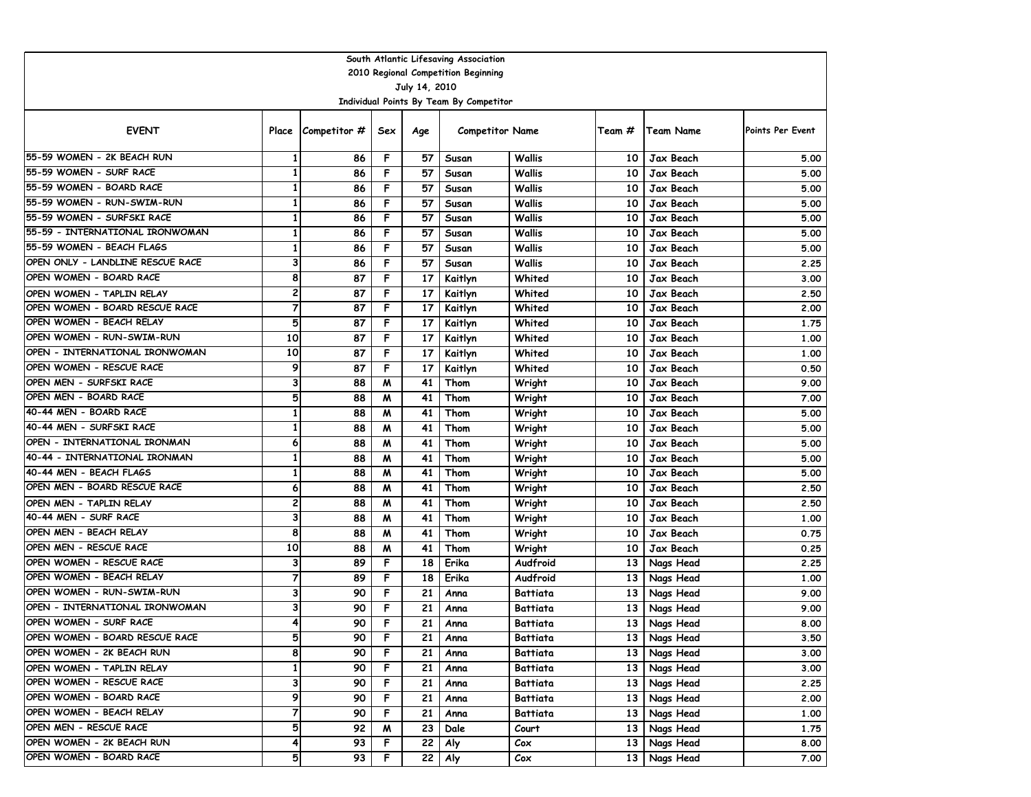| South Atlantic Lifesaving Association                    |                         |                    |     |     |                        |                 |                 |                |                         |  |  |  |  |
|----------------------------------------------------------|-------------------------|--------------------|-----|-----|------------------------|-----------------|-----------------|----------------|-------------------------|--|--|--|--|
| 2010 Regional Competition Beginning                      |                         |                    |     |     |                        |                 |                 |                |                         |  |  |  |  |
| July 14, 2010<br>Individual Points By Team By Competitor |                         |                    |     |     |                        |                 |                 |                |                         |  |  |  |  |
|                                                          |                         |                    |     |     |                        |                 |                 |                |                         |  |  |  |  |
| <b>EVENT</b>                                             |                         | Place Competitor # | Sex | Age | <b>Competitor Name</b> |                 | Team #          | Team Name      | <b>Points Per Event</b> |  |  |  |  |
| 155-59 WOMEN - 2K BEACH RUN                              | 1                       | 86                 | F   | 57  | Susan                  | Wallis          | 10              | Jax Beach      | 5.00                    |  |  |  |  |
| 55-59 WOMEN - SURF RACE                                  | $\mathbf{1}$            | 86                 | F   | 57  | Susan                  | Wallis          | 10              | Jax Beach      | 5.00                    |  |  |  |  |
| 55-59 WOMEN - BOARD RACE                                 | $\mathbf{1}$            | 86                 | F   | 57  | Susan                  | Wallis          | 10              | Jax Beach      | 5.00                    |  |  |  |  |
| 55-59 WOMEN - RUN-SWIM-RUN                               | $\mathbf{1}$            | 86                 | F   | 57  | Susan                  | Wallis          | 10              | Jax Beach      | 5.00                    |  |  |  |  |
| 155-59 WOMEN - SURFSKI RACE                              | 1                       | 86                 | F   | 57  | Susan                  | Wallis          | 10              | Jax Beach      | 5.00                    |  |  |  |  |
| 55-59 - INTERNATIONAL IRONWOMAN                          | $\mathbf{1}$            | 86                 | F   | 57  | Susan                  | Wallis          | 10              | Jax Beach      | 5.00                    |  |  |  |  |
| 55-59 WOMEN - BEACH FLAGS                                | $\mathbf{1}$            | 86                 | F   | 57  | Susan                  | Wallis          | 10              | Jax Beach      | 5.00                    |  |  |  |  |
| OPEN ONLY - LANDLINE RESCUE RACE                         | 3                       | 86                 | F   | 57  | Susan                  | Wallis          | 10              | Jax Beach      | 2.25                    |  |  |  |  |
| OPEN WOMEN - BOARD RACE                                  | 8                       | 87                 | F   | 17  | Kaitlyn                | Whited          | 10              | Jax Beach      | 3.00                    |  |  |  |  |
| OPEN WOMEN - TAPLIN RELAY                                | $\overline{\mathbf{c}}$ | 87                 | F   | 17  | Kaitlyn                | Whited          | 10              | Jax Beach      | 2.50                    |  |  |  |  |
| OPEN WOMEN - BOARD RESCUE RACE                           | $\overline{7}$          | 87                 | F   | 17  | Kaitlyn                | Whited          | 10              | Jax Beach      | 2.00                    |  |  |  |  |
| OPEN WOMEN - BEACH RELAY                                 | 5                       | 87                 | F   | 17  | Kaitlyn                | Whited          | 10              | Jax Beach      | 1.75                    |  |  |  |  |
| OPEN WOMEN - RUN-SWIM-RUN                                | 10                      | 87                 | F   | 17  | Kaitlyn                | Whited          | 10              | Jax Beach      | 1.00                    |  |  |  |  |
| OPEN - INTERNATIONAL IRONWOMAN                           | 10                      | 87                 | F   | 17  | Kaitlyn                | Whited          | 10              | Jax Beach      | 1.00                    |  |  |  |  |
| OPEN WOMEN - RESCUE RACE                                 | 9                       | 87                 | F   | 17  | Kaitlyn                | Whited          | 10              | Jax Beach      | 0.50                    |  |  |  |  |
| OPEN MEN - SURFSKI RACE                                  | 3                       | 88                 | M   | 41  | Thom                   | Wright          | 10              | Jax Beach      | 9.00                    |  |  |  |  |
| OPEN MEN - BOARD RACE                                    | 5                       | 88                 | M   | 41  | Thom                   | Wright          | 10              | Jax Beach      | 7.00                    |  |  |  |  |
| 40-44 MEN - BOARD RACE                                   | $\mathbf{1}$            | 88                 | M   | 41  | Thom                   | Wright          | 10              | Jax Beach      | 5.00                    |  |  |  |  |
| 40-44 MEN - SURFSKI RACE                                 | $\mathbf{1}$            | 88                 | M   | 41  | Thom                   | Wright          | 10              | Jax Beach      | 5.00                    |  |  |  |  |
| OPEN - INTERNATIONAL IRONMAN                             | 6                       | 88                 | M   | 41  | Thom                   | Wright          | 10              | Jax Beach      | 5.00                    |  |  |  |  |
| 40-44 - INTERNATIONAL IRONMAN                            | $\mathbf{1}$            | 88                 | M   | 41  | Thom                   | Wright          | 10              | Jax Beach      | 5.00                    |  |  |  |  |
| 40-44 MEN - BEACH FLAGS                                  | $\mathbf{1}$            | 88                 | M   | 41  | Thom                   | Wright          | 10              | Jax Beach      | 5.00                    |  |  |  |  |
| OPEN MEN - BOARD RESCUE RACE                             | 6                       | 88                 | M   | 41  | Thom                   | Wright          | 10              | Jax Beach      | 2.50                    |  |  |  |  |
| OPEN MEN - TAPLIN RELAY                                  | 2                       | 88                 | M   | 41  | Thom                   | Wright          | 10              | Jax Beach      | 2.50                    |  |  |  |  |
| 40-44 MEN - SURF RACE                                    | 3                       | 88                 | M   | 41  | Thom                   | Wright          | 10              | Jax Beach      | 1.00                    |  |  |  |  |
| OPEN MEN - BEACH RELAY                                   | 8                       | 88                 | M   | 41  | Thom                   | Wright          | 10              | Jax Beach      | 0.75                    |  |  |  |  |
| OPEN MEN - RESCUE RACE                                   | 10                      | 88                 | M   | 41  | Thom                   | Wright          | 10              | Jax Beach      | 0.25                    |  |  |  |  |
| OPEN WOMEN - RESCUE RACE                                 | 3                       | 89                 | F   | 18  | Erika                  | Audfroid        | 13              | Nags Head      | 2.25                    |  |  |  |  |
| OPEN WOMEN - BEACH RELAY                                 | $\overline{7}$          | 89                 | F   | 18  | Erika                  | Audfroid        | 13              | Nags Head      | 1.00                    |  |  |  |  |
| OPEN WOMEN - RUN-SWIM-RUN                                | 3                       | 90                 | F   | 21  | Anna                   | <b>Battiata</b> | 13              | Nags Head      | 9.00                    |  |  |  |  |
| OPEN - INTERNATIONAL IRONWOMAN                           | 3                       | 90                 | F   | 21  | Anna                   | Battiata        | 13              | Nags Head      | 9.00                    |  |  |  |  |
| OPEN WOMEN - SURF RACE                                   | 4                       | 90                 | F   | 21  | Anna                   | Battiata        | 13 <sup>1</sup> | Nags Head      | 8.00                    |  |  |  |  |
| OPEN WOMEN - BOARD RESCUE RACE                           | 5                       | 90                 | F   | 21  | Anna                   | Battiata        |                 | 13   Nags Head | 3.50                    |  |  |  |  |
| OPEN WOMEN - 2K BEACH RUN                                | 8                       | 90                 | F   | 21  | Anna                   | Battiata        |                 | 13 Nags Head   | 3.00                    |  |  |  |  |
| OPEN WOMEN - TAPLIN RELAY                                | $\mathbf{1}$            | 90                 | F   | 21  | Anna                   | Battiata        |                 | 13 Nags Head   | 3.00                    |  |  |  |  |
| OPEN WOMEN - RESCUE RACE                                 | 3                       | 90                 | F   | 21  | Anna                   | Battiata        |                 | 13 Nags Head   | 2.25                    |  |  |  |  |
| OPEN WOMEN - BOARD RACE                                  | 9                       | 90                 | F   | 21  | Anna                   | Battiata        |                 | 13 Nags Head   | 2.00                    |  |  |  |  |
| OPEN WOMEN - BEACH RELAY                                 | 7                       | 90                 | F   | 21  | Anna                   | Battiata        |                 | 13 Nags Head   | 1.00                    |  |  |  |  |
| OPEN MEN - RESCUE RACE                                   | 5                       | 92                 | M   | 23  | Dale                   | Court           |                 | 13 Nags Head   | 1.75                    |  |  |  |  |
| OPEN WOMEN - 2K BEACH RUN                                | 4                       | 93                 | F   | 22  | Aly                    | Cox             | 13              | Nags Head      | 8.00                    |  |  |  |  |
| OPEN WOMEN - BOARD RACE                                  | 5                       | 93                 | F   | 22  | Aly                    | Cox             |                 | 13 Nags Head   | 7.00                    |  |  |  |  |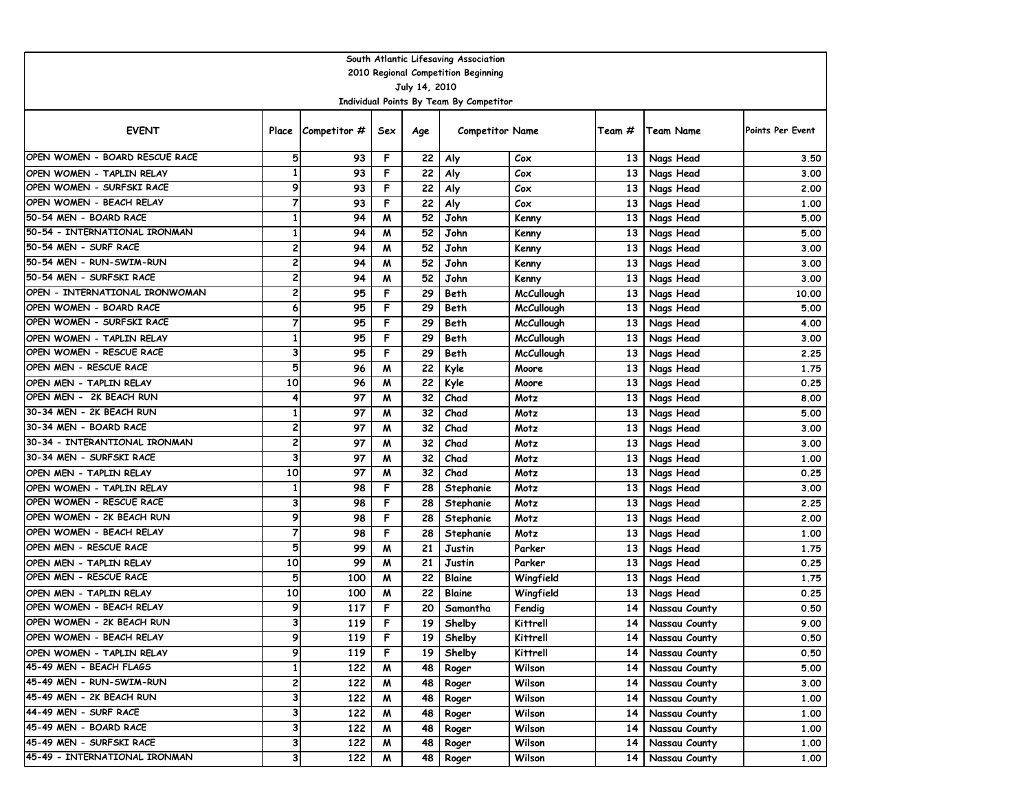| South Atlantic Lifesaving Association |                         |                                         |     |      |                                         |                   |                 |               |                         |  |  |  |  |
|---------------------------------------|-------------------------|-----------------------------------------|-----|------|-----------------------------------------|-------------------|-----------------|---------------|-------------------------|--|--|--|--|
| 2010 Regional Competition Beginning   |                         |                                         |     |      |                                         |                   |                 |               |                         |  |  |  |  |
| July 14, 2010                         |                         |                                         |     |      |                                         |                   |                 |               |                         |  |  |  |  |
|                                       |                         |                                         |     |      | Individual Points By Team By Competitor |                   |                 |               |                         |  |  |  |  |
| <b>EVENT</b>                          |                         | Place $\sqrt{\frac{2}{1}}$ Competitor # | Sex | Age  | <b>Competitor Name</b>                  |                   | Team #          | Team Name     | <b>Points Per Event</b> |  |  |  |  |
| OPEN WOMEN - BOARD RESCUE RACE        | 5                       | 93                                      | F   | 22   | Aly                                     | Cox               | 13              | Nags Head     | 3.50                    |  |  |  |  |
| OPEN WOMEN - TAPLIN RELAY             | $\mathbf{1}$            | 93                                      | F   | 22   | Aly                                     | Cox               | 13              | Nags Head     | 3.00                    |  |  |  |  |
| OPEN WOMEN - SURFSKI RACE             | 9                       | 93                                      | F   | 22   | Aly                                     | Cox               | 13              | Nags Head     | 2.00                    |  |  |  |  |
| OPEN WOMEN - BEACH RELAY              | 7                       | 93                                      | F   | 22   | Aly                                     | Cox               | 13              | Nags Head     | 1.00                    |  |  |  |  |
| 50-54 MEN - BOARD RACE                | 1                       | 94                                      | M   | 52   | John                                    | Kenny             | 13              | Nags Head     | 5.00                    |  |  |  |  |
| 50-54 - INTERNATIONAL IRONMAN         | 1                       | 94                                      | M   | 52   | John                                    | Kenny             | 13              | Nags Head     | 5.00                    |  |  |  |  |
| 50-54 MEN - SURF RACE                 | 2                       | 94                                      | M   | 52   | John                                    | Kenny             | 13              | Nags Head     | 3.00                    |  |  |  |  |
| 50-54 MEN - RUN-SWIM-RUN              | 2                       | 94                                      | M   | 52   | John                                    | Kenny             | 13              | Nags Head     | 3.00                    |  |  |  |  |
| 50-54 MEN - SURFSKI RACE              | $\overline{\mathbf{c}}$ | 94                                      | M   | 52   | John                                    | Kenny             | 13              | Nags Head     | 3.00                    |  |  |  |  |
| OPEN - INTERNATIONAL IRONWOMAN        | $\overline{\mathbf{c}}$ | 95                                      | F   | 29   | Beth                                    | <b>McCullough</b> | 13              | Nags Head     | 10.00                   |  |  |  |  |
| OPEN WOMEN - BOARD RACE               | 6                       | 95                                      | F   | 29   | Beth                                    | <b>McCullough</b> | 13              | Nags Head     | 5.00                    |  |  |  |  |
| OPEN WOMEN - SURFSKI RACE             | 7                       | 95                                      | F   | 29   | Beth                                    | <b>McCullough</b> | 13              | Nags Head     | 4.00                    |  |  |  |  |
| OPEN WOMEN - TAPLIN RELAY             | $\mathbf{1}$            | 95                                      | F   | 29   | Beth                                    | <b>McCullough</b> | 13              | Nags Head     | 3.00                    |  |  |  |  |
| OPEN WOMEN - RESCUE RACE              | 3                       | 95                                      | F   | 29   | Beth                                    | <b>McCullough</b> | 13              | Nags Head     | 2.25                    |  |  |  |  |
| OPEN MEN - RESCUE RACE                | 5                       | 96                                      | M   | 22   | Kyle                                    | Moore             | 13              | Nags Head     | 1.75                    |  |  |  |  |
| OPEN MEN - TAPLIN RELAY               | 10                      | 96                                      | M   | 22   | Kyle                                    | Moore             | 13              | Nags Head     | 0.25                    |  |  |  |  |
| OPEN MEN - 2K BEACH RUN               | 4                       | 97                                      | M   | 32   | Chad                                    | Motz              | 13              | Nags Head     | 8.00                    |  |  |  |  |
| 30-34 MEN - 2K BEACH RUN              | 1                       | 97                                      | M   | 32   | Chad                                    | Motz              | 13              | Nags Head     | 5.00                    |  |  |  |  |
| 30-34 MEN - BOARD RACE                | 2                       | 97                                      | M   | 32   | Chad                                    | Motz              | 13              | Nags Head     | 3.00                    |  |  |  |  |
| 30-34 - INTERANTIONAL IRONMAN         | $\overline{\mathbf{c}}$ | 97                                      | M   | 32   | Chad                                    | Motz              | 13              | Nags Head     | 3.00                    |  |  |  |  |
| 30-34 MEN - SURFSKI RACE              | 3                       | 97                                      | M   | 32   | Chad                                    | Motz              | 13              | Nags Head     | 1.00                    |  |  |  |  |
| OPEN MEN - TAPLIN RELAY               | 10                      | 97                                      | M   | 32   | Chad                                    | Motz              | 13              | Nags Head     | 0.25                    |  |  |  |  |
| OPEN WOMEN - TAPLIN RELAY             | 1                       | 98                                      | F   | 28   | Stephanie                               | Motz              | 13              | Nags Head     | 3.00                    |  |  |  |  |
| OPEN WOMEN - RESCUE RACE              | 3                       | 98                                      | F   | 28   | Stephanie                               | Motz              | 13              | Nags Head     | 2.25                    |  |  |  |  |
| OPEN WOMEN - 2K BEACH RUN             | 9                       | 98                                      | F   | 28   | Stephanie                               | Motz              | 13              | Nags Head     | 2.00                    |  |  |  |  |
| OPEN WOMEN - BEACH RELAY              | 7                       | 98                                      | F   | 28   | Stephanie                               | Motz              | 13              | Nags Head     | 1.00                    |  |  |  |  |
| OPEN MEN - RESCUE RACE                | 5                       | 99                                      | M   | 21   | Justin                                  | Parker            | 13              | Nags Head     | 1.75                    |  |  |  |  |
| OPEN MEN - TAPLIN RELAY               | 10                      | 99                                      | M   | 21   | Justin                                  | Parker            | 13              | Nags Head     | 0.25                    |  |  |  |  |
| OPEN MEN - RESCUE RACE                | 5                       | 100                                     | M   | 22   | Blaine                                  | Wingfield         | 13              | Nags Head     | 1.75                    |  |  |  |  |
| OPEN MEN - TAPLIN RELAY               | 10                      | 100                                     | W   | 22   | Blaine                                  | Wingfield         | 13              | Nags Head     | 0.25                    |  |  |  |  |
| OPEN WOMEN - BEACH RELAY              | 9                       | 117                                     | F   | 20   | Samantha                                | Fendig            | 14              | Nassau County | 0.50                    |  |  |  |  |
| OPEN WOMEN - 2K BEACH RUN             | 3                       | 119                                     | F   | 19   | Shelby                                  | Kittrell          | 14              | Nassau County | 9.00                    |  |  |  |  |
| OPEN WOMEN - BEACH RELAY              | 9                       | 119                                     | F   | 19 I | Shelby                                  | Kittrell          | 14              | Nassau County | 0.50                    |  |  |  |  |
| OPEN WOMEN - TAPLIN RELAY             | 9                       | 119                                     | F   | 19   | Shelby                                  | Kittrell          | 14              | Nassau County | 0.50                    |  |  |  |  |
| 45-49 MEN - BEACH FLAGS               | $\mathbf{1}$            | 122                                     | M   | 48   | Roger                                   | Wilson            | 14              | Nassau County | 5.00                    |  |  |  |  |
| 45-49 MEN - RUN-SWIM-RUN              | 2                       | 122                                     | M   | 48   | Roger                                   | Wilson            | 14              | Nassau County | 3.00                    |  |  |  |  |
| 45-49 MEN - 2K BEACH RUN              | 3                       | 122                                     | M   | 48   | Roger                                   | Wilson            | 14              | Nassau County | 1.00                    |  |  |  |  |
| 44-49 MEN - SURF RACE                 | 3                       | 122                                     | M   | 48   | Roger                                   | Wilson            | 14              | Nassau County | 1.00                    |  |  |  |  |
| 45-49 MEN - BOARD RACE                | 3                       | 122                                     | M   | 48   | Roger                                   | Wilson            | 14              | Nassau County | 1.00                    |  |  |  |  |
| 45-49 MEN - SURFSKI RACE              | 3                       | 122                                     | M   | 48   | Roger                                   | Wilson            | 14              | Nassau County | 1.00                    |  |  |  |  |
| 45-49 - INTERNATIONAL IRONMAN         | 3                       | 122                                     | W   | 48   | Roger                                   | Wilson            | 14 <sup>1</sup> | Nassau County | 1.00                    |  |  |  |  |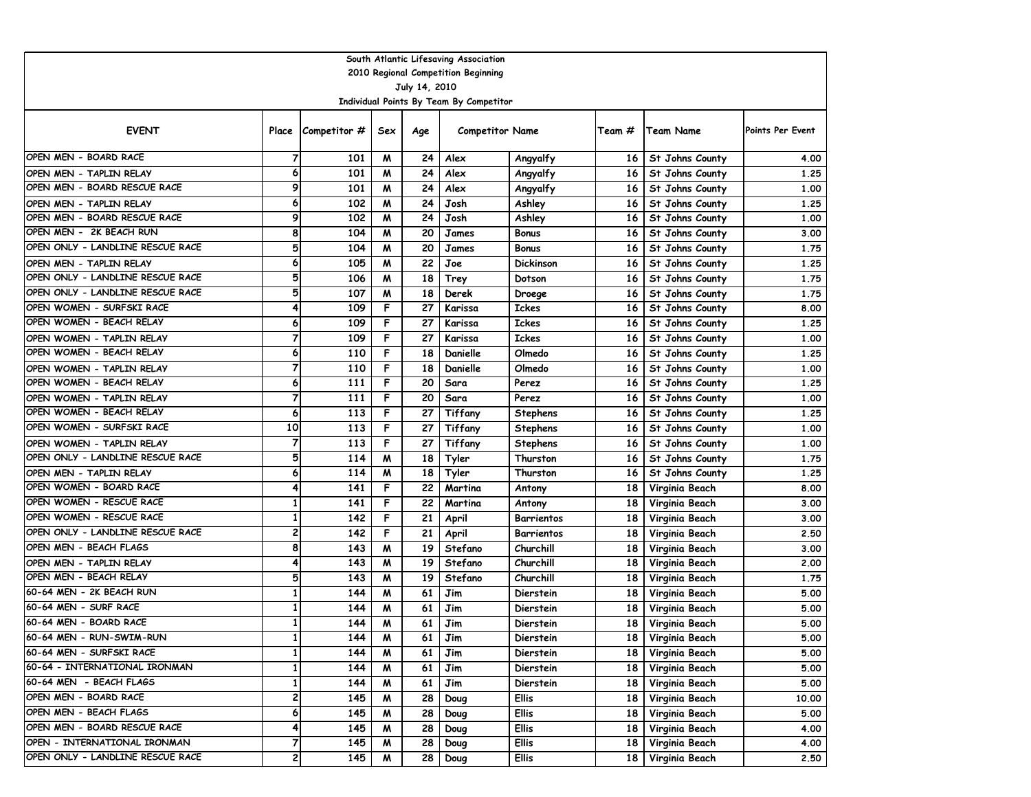| South Atlantic Lifesaving Association                    |                |              |     |     |                        |                   |                 |                        |                  |  |  |  |  |
|----------------------------------------------------------|----------------|--------------|-----|-----|------------------------|-------------------|-----------------|------------------------|------------------|--|--|--|--|
| 2010 Regional Competition Beginning                      |                |              |     |     |                        |                   |                 |                        |                  |  |  |  |  |
| July 14, 2010<br>Individual Points By Team By Competitor |                |              |     |     |                        |                   |                 |                        |                  |  |  |  |  |
|                                                          |                |              |     |     |                        |                   |                 |                        |                  |  |  |  |  |
| <b>EVENT</b>                                             | Place          | Competitor # | Sex | Age | <b>Competitor Name</b> |                   | Team #          | Team Name              | Points Per Event |  |  |  |  |
| OPEN MEN - BOARD RACE                                    | 7              | 101          | M   | 24  | Alex                   | Angyalfy          | 16 I            | St Johns County        | 4.00             |  |  |  |  |
| OPEN MEN - TAPLIN RELAY                                  | 6              | 101          | M   | 24  | Alex                   | Angyalfy          | 16 <sup>1</sup> | St Johns County        | 1.25             |  |  |  |  |
| OPEN MEN - BOARD RESCUE RACE                             | 9              | 101          | M   | 24  | Alex                   | Angyalfy          | 16              | St Johns County        | 1,00             |  |  |  |  |
| OPEN MEN - TAPLIN RELAY                                  | 6              | 102          | M   | 24  | Josh                   | Ashley            | 16              | St Johns County        | 1.25             |  |  |  |  |
| OPEN MEN - BOARD RESCUE RACE                             | 9              | 102          | M   | 24  | Josh                   | Ashley            | 16              | St Johns County        | 1.00             |  |  |  |  |
| OPEN MEN - 2K BEACH RUN                                  | 8              | 104          | M   | 20  | James                  | <b>Bonus</b>      | 16              | St Johns County        | 3.00             |  |  |  |  |
| OPEN ONLY - LANDLINE RESCUE RACE                         | 5              | 104          | M   | 20  | James                  | <b>Bonus</b>      | 16              | St Johns County        | 1.75             |  |  |  |  |
| OPEN MEN - TAPLIN RELAY                                  | 6              | 105          | M   | 22  | Joe                    | <b>Dickinson</b>  | 16              | St Johns County        | 1.25             |  |  |  |  |
| OPEN ONLY - LANDLINE RESCUE RACE                         | 5              | 106          | M   | 18  | Trey                   | Dotson            | 16              | St Johns County        | 1.75             |  |  |  |  |
| OPEN ONLY - LANDLINE RESCUE RACE                         | 5              | 107          | W   | 18  | Derek                  | Droege            | 16              | St Johns County        | 1.75             |  |  |  |  |
| OPEN WOMEN - SURFSKI RACE                                | 4              | 109          | F   | 27  | Karissa                | <b>Ickes</b>      | 16              | <b>St Johns County</b> | 8.00             |  |  |  |  |
| OPEN WOMEN - BEACH RELAY                                 | 6              | 109          | F   | 27  | Karissa                | <b>Ickes</b>      | 16              | St Johns County        | 1.25             |  |  |  |  |
| OPEN WOMEN - TAPLIN RELAY                                | 7              | 109          | F   | 27  | Karissa                | <b>Ickes</b>      | 16              | St Johns County        | 1.00             |  |  |  |  |
| OPEN WOMEN - BEACH RELAY                                 | 6              | 110          | F   | 18  | Danielle               | Olmedo            | 16              | St Johns County        | 1.25             |  |  |  |  |
| OPEN WOMEN - TAPLIN RELAY                                | 7              | 110          | F   | 18  | Danielle               | Olmedo            | 16              | St Johns County        | 1.00             |  |  |  |  |
| OPEN WOMEN - BEACH RELAY                                 | 6              | 111          | F   | 20  | Sara                   | Perez             | 16              | St Johns County        | 1.25             |  |  |  |  |
| OPEN WOMEN - TAPLIN RELAY                                | 7              | 111          | F   | 20  | Sara                   | Perez             | 16              | St Johns County        | 1.00             |  |  |  |  |
| OPEN WOMEN - BEACH RELAY                                 | 6              | 113          | F   | 27  | Tiffany                | <b>Stephens</b>   | 16              | St Johns County        | 1.25             |  |  |  |  |
| OPEN WOMEN - SURFSKI RACE                                | 10             | 113          | F   | 27  | Tiffany                | <b>Stephens</b>   | 16              | St Johns County        | 1,00             |  |  |  |  |
| OPEN WOMEN - TAPLIN RELAY                                | $\overline{7}$ | 113          | F   | 27  | Tiffany                | <b>Stephens</b>   | 16              | St Johns County        | 1.00             |  |  |  |  |
| OPEN ONLY - LANDLINE RESCUE RACE                         | 5              | 114          | M   | 18  | Tyler                  | Thurston          | 16              | St Johns County        | 1.75             |  |  |  |  |
| OPEN MEN - TAPLIN RELAY                                  | 6              | 114          | M   | 18  | Tyler                  | Thurston          | 16              | St Johns County        | 1.25             |  |  |  |  |
| OPEN WOMEN - BOARD RACE                                  | 4              | 141          | F   | 22  | Martina                | Antony            | 18              | Virginia Beach         | 8.00             |  |  |  |  |
| OPEN WOMEN - RESCUE RACE                                 | 1              | 141          | F   | 22  | Martina                | Antony            | 18              | Virginia Beach         | 3.00             |  |  |  |  |
| OPEN WOMEN - RESCUE RACE                                 | 1              | 142          | F   | 21  | April                  | <b>Barrientos</b> | 18              | Virginia Beach         | 3.00             |  |  |  |  |
| OPEN ONLY - LANDLINE RESCUE RACE                         | 2              | 142          | F   | 21  | April                  | <b>Barrientos</b> | 18              | Virginia Beach         | 2.50             |  |  |  |  |
| OPEN MEN - BEACH FLAGS                                   | 8              | 143          | M   | 19  | Stefano                | Churchill         | 18              | Virginia Beach         | 3.00             |  |  |  |  |
| OPEN MEN - TAPLIN RELAY                                  | 4              | 143          | M   | 19  | Stefano                | Churchill         | 18              | Virginia Beach         | 2.00             |  |  |  |  |
| OPEN MEN - BEACH RELAY                                   | 5              | 143          | M   | 19  | Stefano                | Churchill         | 18              | Virginia Beach         | 1.75             |  |  |  |  |
| 60-64 MEN - 2K BEACH RUN                                 | 1              | 144          | M   | 61  | Jim                    | Dierstein         | 18              | Virginia Beach         | 5.00             |  |  |  |  |
| 60-64 MEN - SURF RACE                                    | 1              | 144          | M   | 61  | Jim                    | Dierstein         | 18              | Virginia Beach         | 5.00             |  |  |  |  |
| 60-64 MEN - BOARD RACE                                   | 1              | 144          | M   | 61  | Jim                    | Dierstein         | <b>18</b>       | Virginia Beach         | 5.00             |  |  |  |  |
| 60-64 MEN - RUN-SWIM-RUN                                 | ı              | 144          | M   | 61  | Jim                    | Dierstein         |                 | 18   Virginia Beach    | 5.00             |  |  |  |  |
| 60-64 MEN - SURFSKI RACE                                 | $\mathbf{1}$   | 144          | M   | 61  | Jim                    | Dierstein         |                 | 18 Virginia Beach      | 5.00             |  |  |  |  |
| 60-64 - INTERNATIONAL IRONMAN                            | $\mathbf{1}$   | 144          | M   | 61  | Jim                    | Dierstein         |                 | 18 Virginia Beach      | 5.00             |  |  |  |  |
| 60-64 MEN - BEACH FLAGS                                  | $\mathbf{1}$   | 144          | M   | 61  | Jim                    | Dierstein         |                 | 18 Virginia Beach      | 5.00             |  |  |  |  |
| OPEN MEN - BOARD RACE                                    | 2              | 145          | M   | 28  | Doug                   | Ellis             |                 | 18 Virginia Beach      | 10.00            |  |  |  |  |
| OPEN MEN - BEACH FLAGS                                   | 6              | 145          | M   | 28  | Doug                   | Ellis             |                 | 18 Virginia Beach      | 5.00             |  |  |  |  |
| OPEN MEN - BOARD RESCUE RACE                             | 4              | 145          | M   | 28  | Doug                   | Ellis             | 18 I            | Virginia Beach         | 4.00             |  |  |  |  |
| OPEN - INTERNATIONAL IRONMAN                             | 7              | 145          | W   | 28  | Doug                   | <b>Ellis</b>      | 18 I            | Virginia Beach         | 4.00             |  |  |  |  |
| OPEN ONLY - LANDLINE RESCUE RACE                         | 2              | 145          | M   | 28  | Doug                   | Ellis             | 18              | Virginia Beach         | 2.50             |  |  |  |  |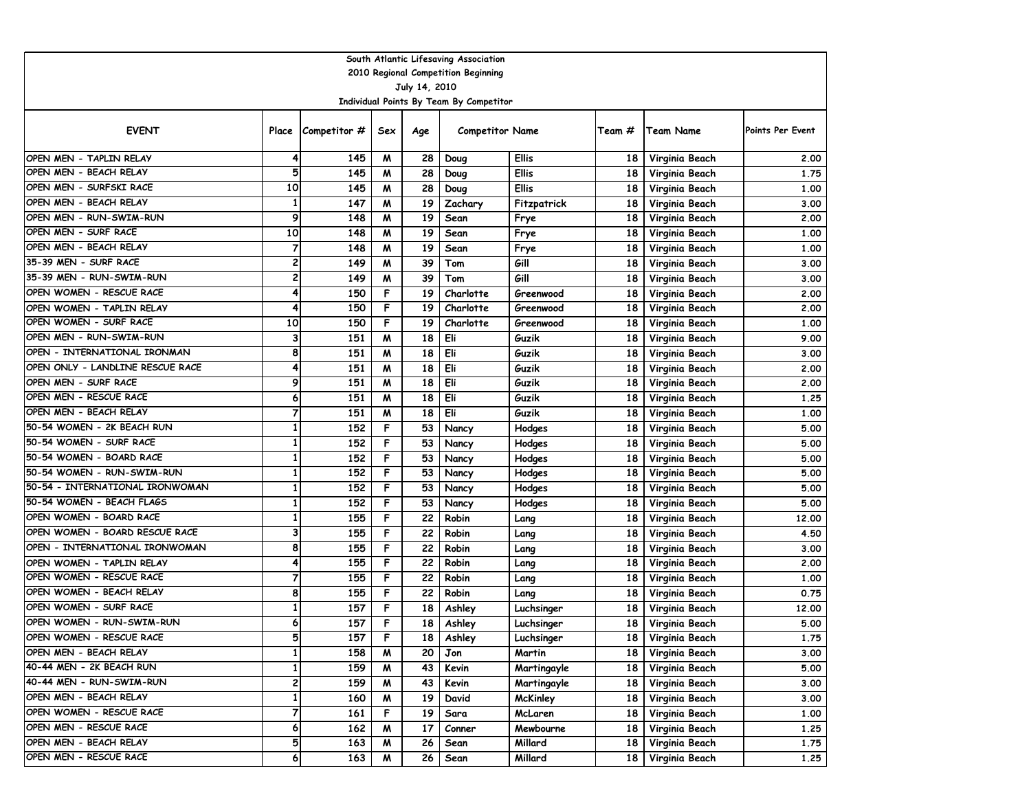| South Atlantic Lifesaving Association |                         |                    |     |      |                                         |                 |                 |                   |                  |  |  |  |  |
|---------------------------------------|-------------------------|--------------------|-----|------|-----------------------------------------|-----------------|-----------------|-------------------|------------------|--|--|--|--|
| 2010 Regional Competition Beginning   |                         |                    |     |      |                                         |                 |                 |                   |                  |  |  |  |  |
| July 14, 2010                         |                         |                    |     |      |                                         |                 |                 |                   |                  |  |  |  |  |
|                                       |                         |                    |     |      | Individual Points By Team By Competitor |                 |                 |                   |                  |  |  |  |  |
| <b>EVENT</b>                          |                         | Place Competitor # | Sex | Age  | <b>Competitor Name</b>                  |                 | Team #          | Team Name         | Points Per Event |  |  |  |  |
| OPEN MEN - TAPLIN RELAY               | 4                       | 145                | M   | 28   | Doug                                    | Ellis           | 18              | Virginia Beach    | 2.00             |  |  |  |  |
| OPEN MEN - BEACH RELAY                | 5                       | 145                | M   | 28   | Doug                                    | <b>Ellis</b>    | 18              | Virginia Beach    | 1.75             |  |  |  |  |
| OPEN MEN - SURFSKI RACE               | 10                      | 145                | M   | 28   | Doug                                    | <b>Ellis</b>    | 18              | Virginia Beach    | 1.00             |  |  |  |  |
| OPEN MEN - BEACH RELAY                | 1                       | 147                | M   | 19   | Zachary                                 | Fitzpatrick     | 18              | Virginia Beach    | 3.00             |  |  |  |  |
| OPEN MEN - RUN-SWIM-RUN               | 9                       | 148                | M   | 19   | Sean                                    | Frye            | 18              | Virginia Beach    | 2.00             |  |  |  |  |
| OPEN MEN - SURF RACE                  | 10                      | 148                | M   | 19   | Sean                                    | Frye            | 18              | Virginia Beach    | 1.00             |  |  |  |  |
| OPEN MEN - BEACH RELAY                | $\overline{7}$          | 148                | M   | 19   | Sean                                    | Frye            | 18              | Virginia Beach    | 1.00             |  |  |  |  |
| 35-39 MEN - SURF RACE                 | 2                       | 149                | M   | 39   | Tom                                     | Gill            | 18              | Virginia Beach    | 3.00             |  |  |  |  |
| 35-39 MEN - RUN-SWIM-RUN              | $\overline{\mathbf{c}}$ | 149                | M   | 39   | Tom                                     | Gill            | 18              | Virginia Beach    | 3.00             |  |  |  |  |
| OPEN WOMEN - RESCUE RACE              | 4                       | 150                | F   | 19   | Charlotte                               | Greenwood       | 18              | Virginia Beach    | 2.00             |  |  |  |  |
| OPEN WOMEN - TAPLIN RELAY             | 4                       | 150                | F   | 19   | Charlotte                               | Greenwood       | 18              | Virginia Beach    | 2.00             |  |  |  |  |
| OPEN WOMEN - SURF RACE                | 10                      | 150                | F   | 19   | Charlotte                               | Greenwood       | 18              | Virginia Beach    | 1.00             |  |  |  |  |
| OPEN MEN - RUN-SWIM-RUN               | 3                       | 151                | M   | 18   | Eli                                     | Guzik           | 18              | Virginia Beach    | 9.00             |  |  |  |  |
| OPEN - INTERNATIONAL IRONMAN          | 8                       | 151                | M   | 18   | Eli                                     | Guzik           | 18              | Virginia Beach    | 3.00             |  |  |  |  |
| OPEN ONLY - LANDLINE RESCUE RACE      | 4                       | 151                | M   | 18   | Eli                                     | Guzik           | 18              | Virginia Beach    | 2.00             |  |  |  |  |
| OPEN MEN - SURF RACE                  | 9                       | 151                | M   | 18   | Eli                                     | Guzik           | 18              | Virginia Beach    | 2.00             |  |  |  |  |
| OPEN MEN - RESCUE RACE                | 6                       | 151                | M   | 18   | Eli                                     | Guzik           | 18              | Virginia Beach    | 1.25             |  |  |  |  |
| OPEN MEN - BEACH RELAY                | 7                       | 151                | M   | 18   | Eli                                     | Guzik           | 18              | Virginia Beach    | 1.00             |  |  |  |  |
| 50-54 WOMEN - 2K BEACH RUN            | $\overline{1}$          | 152                | F   | 53   | Nancy                                   | Hodges          | 18              | Virginia Beach    | 5.00             |  |  |  |  |
| 50-54 WOMEN - SURF RACE               | $\mathbf{1}$            | 152                | F   | 53   | Nancy                                   | Hodges          | 18              | Virginia Beach    | 5.00             |  |  |  |  |
| 50-54 WOMEN - BOARD RACE              | $\mathbf{1}$            | 152                | F   | 53   | Nancy                                   | Hodges          | 18              | Virginia Beach    | 5.00             |  |  |  |  |
| 50-54 WOMEN - RUN-SWIM-RUN            | $\mathbf{1}$            | 152                | F   | 53   | Nancy                                   | Hodges          | 18              | Virginia Beach    | 5.00             |  |  |  |  |
| 50-54 - INTERNATIONAL IRONWOMAN       | 1                       | 152                | F   | 53   | Nancy                                   | Hodges          | 18              | Virginia Beach    | 5.00             |  |  |  |  |
| 50-54 WOMEN - BEACH FLAGS             | 1                       | 152                | F   | 53   | Nancy                                   | Hodges          | 18              | Virginia Beach    | 5.00             |  |  |  |  |
| OPEN WOMEN - BOARD RACE               | 1                       | 155                | F   | 22   | Robin                                   | Lang            | 18              | Virginia Beach    | 12.00            |  |  |  |  |
| OPEN WOMEN - BOARD RESCUE RACE        | 3                       | 155                | F   | 22   | Robin                                   | Lang            | 18              | Virginia Beach    | 4.50             |  |  |  |  |
| OPEN - INTERNATIONAL IRONWOMAN        | 8                       | 155                | F   | 22   | Robin                                   | Lang            | 18              | Virginia Beach    | 3.00             |  |  |  |  |
| OPEN WOMEN - TAPLIN RELAY             | 4                       | 155                | F   | 22   | Robin                                   | Lang            | 18              | Virginia Beach    | 2.00             |  |  |  |  |
| OPEN WOMEN - RESCUE RACE              | $\overline{7}$          | 155                | F   | 22   | Robin                                   | Lang            | 18              | Virginia Beach    | 1.00             |  |  |  |  |
| OPEN WOMEN - BEACH RELAY              | 8                       | 155                | F   | 22   | Robin                                   | Lang            | <b>18</b>       | Virginia Beach    | 0.75             |  |  |  |  |
| OPEN WOMEN - SURF RACE                | 1                       | 157                | F   | 18   | Ashley                                  | Luchsinger      | 18 <sup>1</sup> | Virginia Beach    | 12.00            |  |  |  |  |
| OPEN WOMEN - RUN-SWIM-RUN             | 6                       | 157                | F   | 18   | Ashley                                  | Luchsinger      | 18              | Virginia Beach    | 5.00             |  |  |  |  |
| OPEN WOMEN - RESCUE RACE              | p                       | 157                | F   | 18   | Ashley                                  | Luchsinger      |                 | 18 Virginia Beach | 1.75             |  |  |  |  |
| OPEN MEN - BEACH RELAY                | $\mathbf{1}$            | 158                | M   | 20   | Jon                                     | Martin          |                 | 18 Virginia Beach | 3.00             |  |  |  |  |
| 40-44 MEN - 2K BEACH RUN              | $\mathbf{1}$            | 159                | M   | 43   | Kevin                                   | Martingayle     |                 | 18 Virginia Beach | 5.00             |  |  |  |  |
| 40-44 MEN - RUN-SWIM-RUN              | 2                       | 159                | M   | 43   | Kevin                                   | Martingayle     |                 | 18 Virginia Beach | 3.00             |  |  |  |  |
| OPEN MEN - BEACH RELAY                | 1                       | 160                | M   | 19   | David                                   | <b>McKinley</b> |                 | 18 Virginia Beach | 3.00             |  |  |  |  |
| OPEN WOMEN - RESCUE RACE              | 7                       | 161                | F   | 19   | Sara                                    | McLaren         | 18              | Virginia Beach    | 1.00             |  |  |  |  |
| OPEN MEN - RESCUE RACE                | 6                       | 162                | M   | 17   | Conner                                  | Mewbourne       |                 | 18 Virginia Beach | 1.25             |  |  |  |  |
| OPEN MEN - BEACH RELAY                | 5                       | 163                | W   | 26   | Sean                                    | Millard         | 18              | Virginia Beach    | 1.75             |  |  |  |  |
| OPEN MEN - RESCUE RACE                | 6                       | 163                | W   | 26 I | Sean                                    | Millard         |                 | 18 Virginia Beach | 1.25             |  |  |  |  |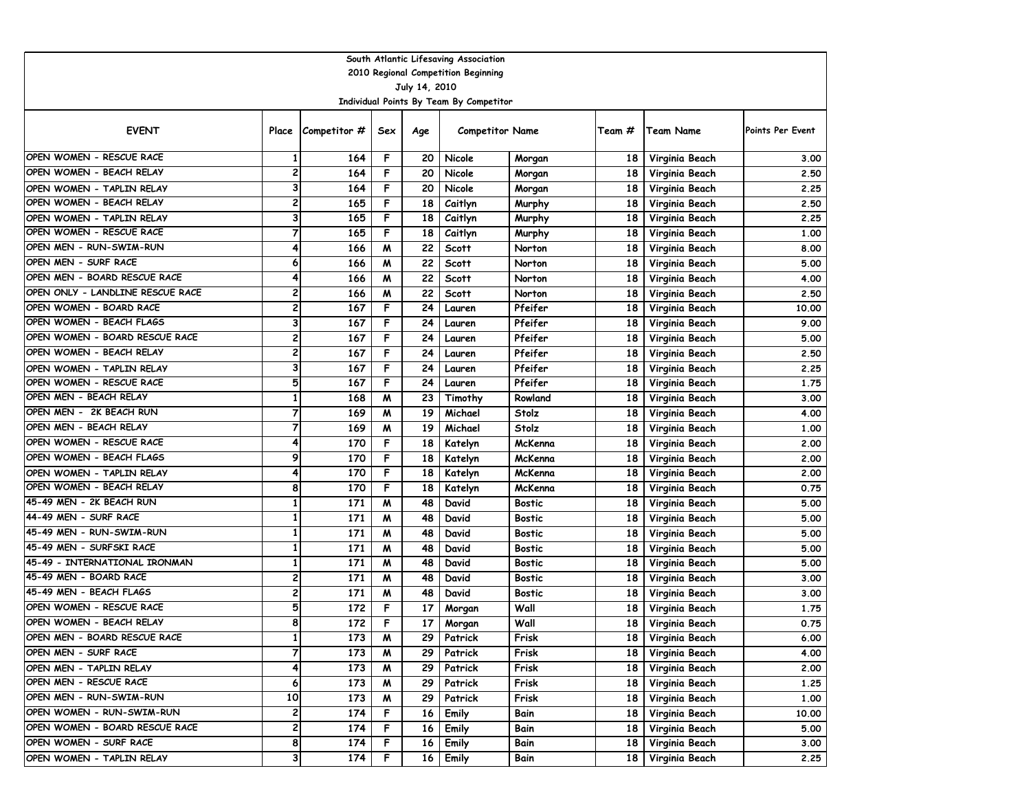|                                  |                         |                    |     |               | South Atlantic Lifesaving Association   |               |        |                     |                  |
|----------------------------------|-------------------------|--------------------|-----|---------------|-----------------------------------------|---------------|--------|---------------------|------------------|
|                                  |                         |                    |     |               | 2010 Regional Competition Beginning     |               |        |                     |                  |
|                                  |                         |                    |     | July 14, 2010 |                                         |               |        |                     |                  |
|                                  |                         |                    |     |               | Individual Points By Team By Competitor |               |        |                     |                  |
| <b>EVENT</b>                     |                         | Place Competitor # | Sex | Age           | <b>Competitor Name</b>                  |               | Team # | Team Name           | Points Per Event |
| OPEN WOMEN - RESCUE RACE         | 1                       | 164                | F   | 20            | Nicole                                  | Morgan        | 18     | Virginia Beach      | 3.00             |
| OPEN WOMEN - BEACH RELAY         | 2                       | 164                | F   | 20            | Nicole                                  | Morgan        | 18     | Virginia Beach      | 2.50             |
| OPEN WOMEN - TAPLIN RELAY        | 3                       | 164                | F   | 20            | Nicole                                  | Morgan        | 18     | Virginia Beach      | 2.25             |
| OPEN WOMEN - BEACH RELAY         | $\overline{\mathbf{c}}$ | 165                | F   | 18            | Caitlyn                                 | Murphy        | 18     | Virginia Beach      | 2.50             |
| OPEN WOMEN - TAPLIN RELAY        | 3                       | 165                | F   | 18            | Caitlyn                                 | Murphy        | 18     | Virginia Beach      | 2.25             |
| OPEN WOMEN - RESCUE RACE         | 7                       | 165                | F   | 18            | Caitlyn                                 | Murphy        | 18     | Virginia Beach      | 1.00             |
| OPEN MEN - RUN-SWIM-RUN          | 4                       | 166                | M   | 22            | <b>Scott</b>                            | Norton        | 18     | Virginia Beach      | 8.00             |
| OPEN MEN - SURF RACE             | 6                       | 166                | M   | 22            | <b>Scott</b>                            | Norton        | 18     | Virginia Beach      | 5.00             |
| OPEN MEN - BOARD RESCUE RACE     | 4                       | 166                | M   | 22            | <b>Scott</b>                            | Norton        | 18     | Virginia Beach      | 4.00             |
| OPEN ONLY - LANDLINE RESCUE RACE | $\overline{\mathbf{c}}$ | 166                | W   | 22            | <b>Scott</b>                            | Norton        | 18     | Virginia Beach      | 2.50             |
| OPEN WOMEN - BOARD RACE          | 2                       | 167                | F   | 24            | Lauren                                  | Pfeifer       | 18     | Virginia Beach      | 10.00            |
| OPEN WOMEN - BEACH FLAGS         | 3                       | 167                | F   | 24            | Lauren                                  | Pfeifer       | 18     | Virginia Beach      | 9.00             |
| OPEN WOMEN - BOARD RESCUE RACE   | $\overline{\mathbf{c}}$ | 167                | F   | 24            | Lauren                                  | Pfeifer       | 18     | Virginia Beach      | 5.00             |
| OPEN WOMEN - BEACH RELAY         | $\overline{\mathbf{c}}$ | 167                | F   | 24            | Lauren                                  | Pfeifer       | 18     | Virginia Beach      | 2.50             |
| OPEN WOMEN - TAPLIN RELAY        | 3                       | 167                | F   | 24            | Lauren                                  | Pfeifer       | 18     | Virginia Beach      | 2.25             |
| OPEN WOMEN - RESCUE RACE         | 5                       | 167                | F   | 24            | Lauren                                  | Pfeifer       | 18     | Virginia Beach      | 1.75             |
| OPEN MEN - BEACH RELAY           | $\mathbf{1}$            | 168                | M   | 23            | Timothy                                 | Rowland       | 18     | Virginia Beach      | 3.00             |
| OPEN MEN - 2K BEACH RUN          | $\overline{7}$          | 169                | M   | 19            | Michael                                 | Stolz         | 18     | Virginia Beach      | 4.00             |
| OPEN MEN - BEACH RELAY           | 7                       | 169                | M   | 19            | Michael                                 | Stolz         | 18     | Virginia Beach      | 1.00             |
| OPEN WOMEN - RESCUE RACE         | 4                       | 170                | F   | 18            | Katelyn                                 | McKenna       | 18     | Virginia Beach      | 2.00             |
| OPEN WOMEN - BEACH FLAGS         | 9                       | 170                | F   | 18            | Katelyn                                 | McKenna       | 18     | Virginia Beach      | 2.00             |
| OPEN WOMEN - TAPLIN RELAY        | 4                       | 170                | F   | 18            | Katelyn                                 | McKenna       | 18     | Virginia Beach      | 2.00             |
| OPEN WOMEN - BEACH RELAY         | 8                       | 170                | F   | 18            | Katelyn                                 | McKenna       | 18     | Virginia Beach      | 0.75             |
| 45-49 MEN - 2K BEACH RUN         | $\mathbf{1}$            | 171                | M   | 48            | David                                   | <b>Bostic</b> | 18     | Virginia Beach      | 5.00             |
| 44-49 MEN - SURF RACE            | 1                       | 171                | M   | 48            | David                                   | <b>Bostic</b> | 18     | Virginia Beach      | 5.00             |
| 45-49 MEN - RUN-SWIM-RUN         | $\mathbf{1}$            | 171                | M   | 48            | David                                   | Bostic        | 18     | Virginia Beach      | 5.00             |
| 45-49 MEN - SURFSKI RACE         | 1                       | 171                | M   | 48            | David                                   | Bostic        | 18     | Virginia Beach      | 5.00             |
| 45-49 - INTERNATIONAL IRONMAN    | $\mathbf{1}$            | 171                | M   | 48            | David                                   | <b>Bostic</b> | 18     | Virginia Beach      | 5.00             |
| 45-49 MEN - BOARD RACE           | 2                       | 171                | M   | 48            | David                                   | <b>Bostic</b> | 18     | Virginia Beach      | 3.00             |
| 45-49 MEN - BEACH FLAGS          | 2                       | 171                | M   | 48            | David                                   | <b>Bostic</b> | 18     | Virginia Beach      | 3.00             |
| OPEN WOMEN - RESCUE RACE         | 5                       | 172                | F   | 17            | Morgan                                  | Wall          | 18     | Virginia Beach      | 1.75             |
| OPEN WOMEN - BEACH RELAY         | 8                       | 172                | F   | 17            | Morgan                                  | Wall          | 18     | Virginia Beach      | 0.75             |
| OPEN MEN - BOARD RESCUE RACE     | 1                       | 173                | M   | 29            | Patrick                                 | Frisk         |        | 18   Virginia Beach | 6.00             |
| OPEN MEN - SURF RACE             | $\overline{\mathbf{7}}$ | 173                | W   | 29            | Patrick                                 | Frisk         |        | 18 Virginia Beach   | 4.00             |
| OPEN MEN - TAPLIN RELAY          | 4                       | 173                | M   | 29            | Patrick                                 | Frisk         | 18     | Virginia Beach      | 2.00             |
| OPEN MEN - RESCUE RACE           | 6                       | 173                | W   | 29            | Patrick                                 | Frisk         |        | 18 Virginia Beach   | 1.25             |
| OPEN MEN - RUN-SWIM-RUN          | 10                      | 173                | M   | 29            | Patrick                                 | Frisk         | 18     | Virginia Beach      | 1.00             |
| OPEN WOMEN - RUN-SWIM-RUN        | 2                       | 174                | F   | 16            | Emily                                   | Bain          | 18 I   | Virginia Beach      | 10.00            |
| OPEN WOMEN - BOARD RESCUE RACE   | 2                       | 174                | F.  | 16            | Emily                                   | Bain          | 18 I   | Virginia Beach      | 5.00             |
| OPEN WOMEN - SURF RACE           | 8                       | 174                | F   | 16            | Emily                                   | Bain          | 18 I   | Virginia Beach      | 3.00             |
| OPEN WOMEN - TAPLIN RELAY        | 3                       | 174                | F.  | 16            | Emily                                   | Bain          | 18     | Virginia Beach      | 2.25             |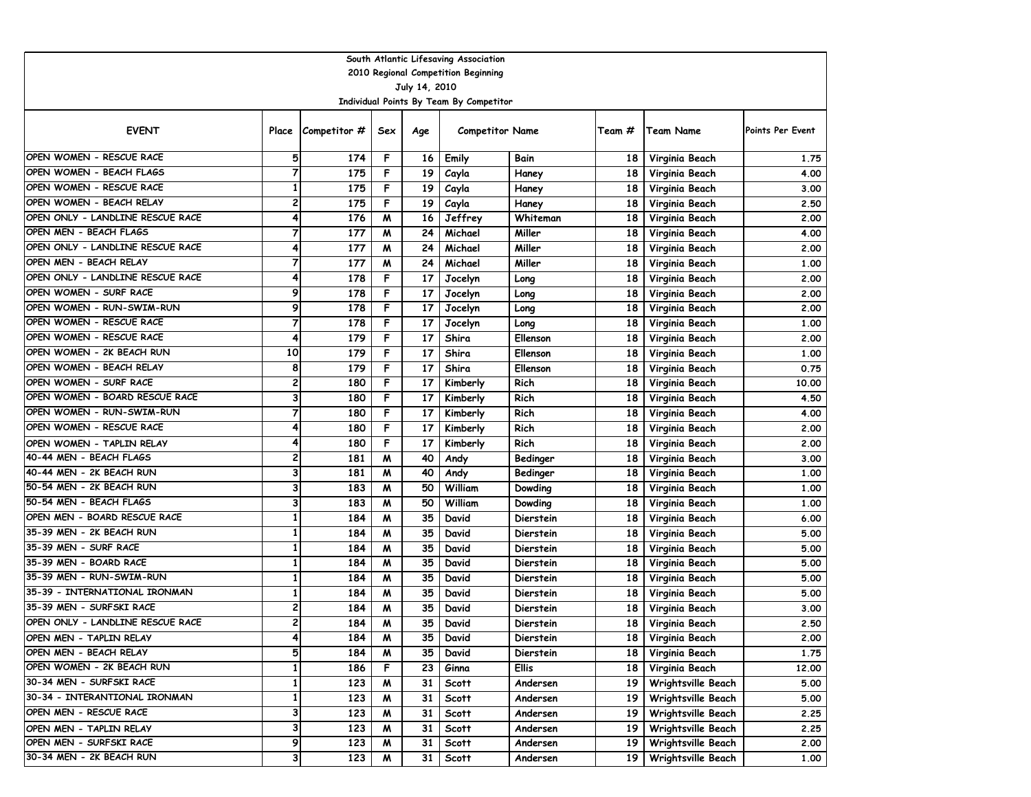|                                  |                |                    |     |               | South Atlantic Lifesaving Association   |           |                 |                         |                  |
|----------------------------------|----------------|--------------------|-----|---------------|-----------------------------------------|-----------|-----------------|-------------------------|------------------|
|                                  |                |                    |     |               | 2010 Regional Competition Beginning     |           |                 |                         |                  |
|                                  |                |                    |     | July 14, 2010 |                                         |           |                 |                         |                  |
|                                  |                |                    |     |               | Individual Points By Team By Competitor |           |                 |                         |                  |
| <b>EVENT</b>                     |                | Place Competitor # | Sex | Age           | <b>Competitor Name</b>                  |           | Team #          | Team Name               | Points Per Event |
| OPEN WOMEN - RESCUE RACE         | 5              | 174                | F   | 16            | Emily                                   | Bain      | 18              | Virginia Beach          | 1.75             |
| OPEN WOMEN - BEACH FLAGS         | 7              | 175                | F   | 19            | Cayla                                   | Haney     | 18              | Virginia Beach          | 4.00             |
| OPEN WOMEN - RESCUE RACE         | $\mathbf{1}$   | 175                | F   | 19            | Cayla                                   | Haney     | 18              | Virginia Beach          | 3.00             |
| OPEN WOMEN - BEACH RELAY         | 2              | 175                | F   | 19            | Cayla                                   | Haney     | 18              | Virginia Beach          | 2.50             |
| OPEN ONLY - LANDLINE RESCUE RACE | 4              | 176                | M   | 16            | Jeffrey                                 | Whiteman  | 18              | Virginia Beach          | 2.00             |
| OPEN MEN - BEACH FLAGS           | $\overline{7}$ | 177                | M   | 24            | Michael                                 | Miller    | 18              | Virginia Beach          | 4.00             |
| OPEN ONLY - LANDLINE RESCUE RACE | 4              | 177                | M   | 24            | Michael                                 | Miller    | 18              | Virginia Beach          | 2.00             |
| OPEN MEN - BEACH RELAY           | $\overline{7}$ | 177                | M   | 24            | Michael                                 | Miller    | 18              | Virginia Beach          | 1.00             |
| OPEN ONLY - LANDLINE RESCUE RACE | 4              | 178                | F   | 17            | Jocelyn                                 | Long      | 18              | Virginia Beach          | 2.00             |
| OPEN WOMEN - SURF RACE           | 9              | 178                | F   | 17            | Jocelyn                                 | Long      | 18              | Virginia Beach          | 2.00             |
| OPEN WOMEN - RUN-SWIM-RUN        | 9              | 178                | F   | 17            | Jocelyn                                 | Long      | 18              | Virginia Beach          | 2.00             |
| OPEN WOMEN - RESCUE RACE         | 7              | 178                | F   | 17            | Jocelyn                                 | Long      | 18              | Virginia Beach          | 1,00             |
| OPEN WOMEN - RESCUE RACE         | 4              | 179                | F   | 17            | Shira                                   | Ellenson  | 18              | Virginia Beach          | 2.00             |
| OPEN WOMEN - 2K BEACH RUN        | 10             | 179                | F   | 17            | Shira                                   | Ellenson  | 18              | Virginia Beach          | 1.00             |
| OPEN WOMEN - BEACH RELAY         | 8              | 179                | F   | 17            | Shira                                   | Ellenson  | 18              | Virginia Beach          | 0.75             |
| OPEN WOMEN - SURF RACE           | 2              | 180                | F   | 17            | Kimberly                                | Rich      | 18              | Virginia Beach          | 10.00            |
| OPEN WOMEN - BOARD RESCUE RACE   | 3              | 180                | F   | 17            | Kimberly                                | Rich      | 18              | Virginia Beach          | 4.50             |
| OPEN WOMEN - RUN-SWIM-RUN        | 7              | 180                | F   | 17            | Kimberly                                | Rich      | 18              | Virginia Beach          | 4.00             |
| OPEN WOMEN - RESCUE RACE         | 4              | 180                | F   | 17            | Kimberly                                | Rich      | 18              | Virginia Beach          | 2.00             |
| OPEN WOMEN - TAPLIN RELAY        | 4              | 180                | F   | 17            | Kimberly                                | Rich      | 18              | Virginia Beach          | 2.00             |
| 40-44 MEN - BEACH FLAGS          | 2              | 181                | M   | 40            | Andy                                    | Bedinger  | 18              | Virginia Beach          | 3.00             |
| 40-44 MEN - 2K BEACH RUN         | 3              | 181                | M   | 40            | Andy                                    | Bedinger  | 18              | Virginia Beach          | 1,00             |
| 50-54 MEN - 2K BEACH RUN         | 3              | 183                | M   | 50            | William                                 | Dowding   | 18              | Virginia Beach          | 1.00             |
| 50-54 MEN - BEACH FLAGS          | 3              | 183                | M   | 50            | William                                 | Dowding   | 18              | Virginia Beach          | 1.00             |
| OPEN MEN - BOARD RESCUE RACE     | 1              | 184                | M   | 35            | David                                   | Dierstein | 18              | Virginia Beach          | 6.00             |
| 35-39 MEN - 2K BEACH RUN         | 1              | 184                | M   | 35            | David                                   | Dierstein | 18              | Virginia Beach          | 5.00             |
| 35-39 MEN - SURF RACE            | 1              | 184                | M   | 35            | David                                   | Dierstein | 18              | Virginia Beach          | 5.00             |
| 35-39 MEN - BOARD RACE           | $\mathbf{1}$   | 184                | M   | 35            | David                                   | Dierstein | 18              | Virginia Beach          | 5.00             |
| 35-39 MEN - RUN-SWIM-RUN         | $\mathbf{1}$   | 184                | M   | 35            | David                                   | Dierstein | 18              | Virginia Beach          | 5.00             |
| 35-39 - INTERNATIONAL IRONMAN    | 1              | 184                | M   | 35            | David                                   | Dierstein | 18              | Virginia Beach          | 5.00             |
| 35-39 MEN - SURFSKI RACE         | 2              | 184                | W   | 35            | David                                   | Dierstein | 18              | Virginia Beach          | 3.00             |
| OPEN ONLY - LANDLINE RESCUE RACE | 2              | 184                | M   | 35            | David                                   | Dierstein | 18 <sup>1</sup> | Virginia Beach          | 2.50             |
| OPEN MEN - TAPLIN RELAY          |                | 184                | M   | 35            | David                                   | Dierstein |                 | 18 Virginia Beach       | 2.00             |
| OPEN MEN - BEACH RELAY           | 5              | 184                | M   | 35            | David                                   | Dierstein |                 | 18 Virginia Beach       | 1.75             |
| OPEN WOMEN - 2K BEACH RUN        | 1              | 186                |     | 23            | Ginna                                   | Ellis     |                 | 18 Virginia Beach       | 12.00            |
| 30-34 MEN - SURFSKI RACE         | 1              | 123                | M   | 31            | <b>Scott</b>                            | Andersen  |                 | 19   Wrightsville Beach | 5.00             |
| 30-34 - INTERANTIONAL IRONMAN    | 1              | 123                | M   | 31            | <b>Scott</b>                            | Andersen  |                 | 19   Wrightsville Beach | 5.00             |
| OPEN MEN - RESCUE RACE           | 3              | 123                | M   | 31            | Scott                                   | Andersen  |                 | 19   Wrightsville Beach | 2.25             |
| OPEN MEN - TAPLIN RELAY          | 3              | 123                | M   | 31            | <b>Scott</b>                            | Andersen  |                 | 19   Wrightsville Beach | 2.25             |
| OPEN MEN - SURFSKI RACE          | 9              | 123                | M   | 31            | Scott                                   | Andersen  | 19 I            | Wrightsville Beach      | 2.00             |
| 30-34 MEN - 2K BEACH RUN         | 3              | 123                | W   | 31            | Scott                                   | Andersen  |                 | 19   Wrightsville Beach | 1.00             |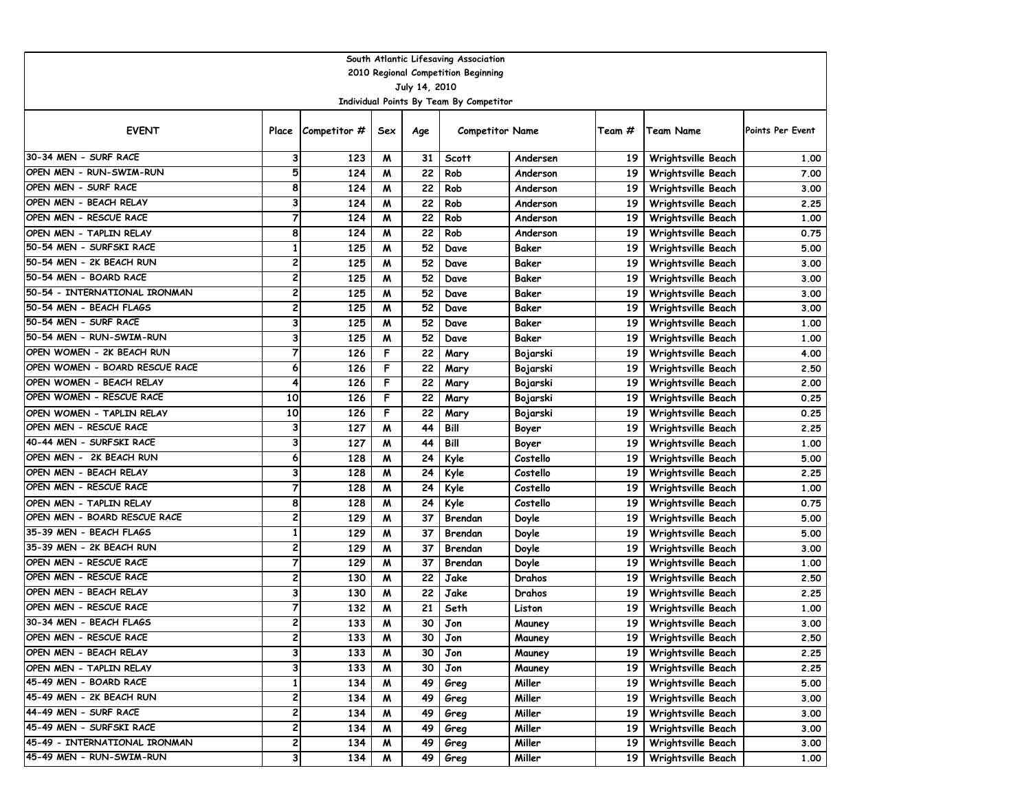|                                                    |                         |                    |        |                 | South Atlantic Lifesaving Association   |                      |                 |                                          |                  |
|----------------------------------------------------|-------------------------|--------------------|--------|-----------------|-----------------------------------------|----------------------|-----------------|------------------------------------------|------------------|
|                                                    |                         |                    |        |                 | 2010 Regional Competition Beginning     |                      |                 |                                          |                  |
|                                                    |                         |                    |        | July 14, 2010   |                                         |                      |                 |                                          |                  |
|                                                    |                         |                    |        |                 | Individual Points By Team By Competitor |                      |                 |                                          |                  |
| <b>EVENT</b>                                       |                         | Place Competitor # | Sex    | Age             | <b>Competitor Name</b>                  |                      | Team #          | <b>Team Name</b>                         | Points Per Event |
| 30-34 MEN - SURF RACE                              | 3                       | 123                | M      | 31              | <b>Scott</b>                            | Andersen             | 19 <sup>1</sup> | Wrightsville Beach                       | 1.00             |
| OPEN MEN - RUN-SWIM-RUN                            | 5                       | 124                | M      | 22              | Rob                                     | Anderson             | 19 <sup>1</sup> | Wrightsville Beach                       | 7.00             |
| OPEN MEN - SURF RACE                               | 8                       | 124                | M      | 22              | Rob                                     | Anderson             | 19              | Wrightsville Beach                       | 3.00             |
| OPEN MEN - BEACH RELAY                             | 3                       | 124                | M      | 22              | Rob                                     | Anderson             | 19              | Wrightsville Beach                       | 2.25             |
| OPEN MEN - RESCUE RACE                             | $\overline{7}$          | 124                | M      | 22              | Rob                                     | Anderson             | 19              | Wrightsville Beach                       | 1.00             |
| OPEN MEN - TAPLIN RELAY                            | 8                       | 124                | M      | 22              | Rob                                     | Anderson             | 19              | Wrightsville Beach                       | 0.75             |
| 50-54 MEN - SURFSKI RACE                           | $\mathbf{1}$            | 125                | M      | 52              | Dave                                    | Baker                | 19              | Wrightsville Beach                       | 5.00             |
| 50-54 MEN - 2K BEACH RUN                           | 2                       | 125                | M      | 52              | Dave                                    | Baker                | 19              | Wrightsville Beach                       | 3.00             |
| 50-54 MEN - BOARD RACE                             | 2                       | 125                | M      | 52              | Dave                                    | Baker                | 19              | Wrightsville Beach                       | 3.00             |
| 50-54 - INTERNATIONAL IRONMAN                      | $\overline{\mathbf{c}}$ | 125                | M      | 52              | Dave                                    | Baker                | 19              | <b>Wrightsville Beach</b>                | 3.00             |
| 50-54 MEN - BEACH FLAGS                            | 2                       | 125                | W      | 52              | Dave                                    | Baker                | 19              | Wrightsville Beach                       | 3.00             |
| 50-54 MEN - SURF RACE                              | 3                       | 125                | W      | 52              | Dave                                    | Baker                | 19              | Wrightsville Beach                       | 1.00             |
| 50-54 MEN - RUN-SWIM-RUN                           | 3                       | 125                | M      | 52              | Dave                                    | Baker                | 19              | Wrightsville Beach                       | 1.00             |
| OPEN WOMEN - 2K BEACH RUN                          | $\overline{7}$          | 126                | F      | 22              | Mary                                    | Bojarski             | 19              | Wrightsville Beach                       | 4.00             |
| OPEN WOMEN - BOARD RESCUE RACE                     | 6                       | 126                | F      | 22              | Mary                                    | Bojarski             | 19              | Wrightsville Beach                       | 2.50             |
| OPEN WOMEN - BEACH RELAY                           | 4                       | 126                | F      | 22              | Mary                                    | Bojarski             | 19              | Wrightsville Beach                       | 2.00             |
| OPEN WOMEN - RESCUE RACE                           | 10                      | 126                | F      | 22              | Mary                                    | Bojarski             | 19              | Wrightsville Beach                       | 0.25             |
| OPEN WOMEN - TAPLIN RELAY                          | 10                      | 126                | F      | 22              | Mary                                    | Bojarski             | 19              | Wrightsville Beach                       | 0.25             |
| OPEN MEN - RESCUE RACE<br>40-44 MEN - SURFSKI RACE | 3<br>3                  | 127                | M      | 44              | Bill                                    | Boyer                | 19              | Wrightsville Beach                       | 2.25             |
| OPEN MEN - 2K BEACH RUN                            | 6                       | 127                | M      | 44              | Bill                                    | Boyer                | 19              | Wrightsville Beach                       | 1.00             |
| OPEN MEN - BEACH RELAY                             | 3                       | 128<br>128         | M<br>M | 24<br>24        | Kyle<br>Kyle                            | Costello<br>Costello | 19<br>19        | Wrightsville Beach                       | 5.00<br>2.25     |
| OPEN MEN - RESCUE RACE                             | $\overline{7}$          | 128                | M      | 24              | Kyle                                    | Costello             | 19              | Wrightsville Beach<br>Wrightsville Beach | 1.00             |
| OPEN MEN - TAPLIN RELAY                            | 8                       | 128                | M      | 24              | Kyle                                    | Costello             | 19              | Wrightsville Beach                       | 0.75             |
| OPEN MEN - BOARD RESCUE RACE                       | 2                       | 129                | M      | 37              | Brendan                                 | Doyle                | 19              | Wrightsville Beach                       | 5.00             |
| 35-39 MEN - BEACH FLAGS                            | $\mathbf{1}$            | 129                | M      | 37              | Brendan                                 | Doyle                | 19              | Wrightsville Beach                       | 5.00             |
| 35-39 MEN - 2K BEACH RUN                           | 2                       | 129                | M      | 37              | Brendan                                 | Doyle                | 19              | Wrightsville Beach                       | 3.00             |
| OPEN MEN - RESCUE RACE                             | $\overline{7}$          | 129                | M      | 37              | Brendan                                 | Doyle                | 19              | Wrightsville Beach                       | 1.00             |
| OPEN MEN - RESCUE RACE                             | $\overline{\mathbf{c}}$ | 130                | M      | 22              | Jake                                    | Drahos               | 19              | Wrightsville Beach                       | 2.50             |
| OPEN MEN - BEACH RELAY                             | 3                       | 130                | M      | 22              | Jake                                    | Drahos               | 19              | Wrightsville Beach                       | 2.25             |
| OPEN MEN - RESCUE RACE                             | 7                       | 132                | м      | 21              | Seth                                    | Liston               | 19              | Wrightsville Beach                       | 1.00             |
| 30-34 MEN - BEACH FLAGS                            | 2                       | 133                | M      | 30              | Jon                                     | Mauney               | 19 <sup>1</sup> | Wrightsville Beach                       | 3.00             |
| OPEN MEN - RESCUE RACE                             | 2                       | 133                | M      | 30 <sub>1</sub> | Jon                                     | Mauney               | 19 <sup>1</sup> | Wrightsville Beach                       | 2.50             |
| OPEN MEN - BEACH RELAY                             | 3                       | 133                | M      | 30              | Jon                                     | Mauney               | 19              | Wrightsville Beach                       | 2.25             |
| OPEN MEN - TAPLIN RELAY                            | 3                       | 133                | M      | 30              | Jon                                     | Mauney               |                 | 19   Wrightsville Beach                  | 2.25             |
| 45-49 MEN - BOARD RACE                             | $\mathbf{1}$            | 134                | M      | 49              | Greg                                    | Miller               |                 | 19   Wrightsville Beach                  | 5.00             |
| 45-49 MEN - 2K BEACH RUN                           | 2                       | 134                | M      | 49              | Greg                                    | Miller               |                 | 19   Wrightsville Beach                  | 3.00             |
| 44-49 MEN - SURF RACE                              | 2                       | 134                | M      | 49              | Greg                                    | Miller               | 19 I            | <b>Wrightsville Beach</b>                | 3.00             |
| 45-49 MEN - SURFSKI RACE                           | 2                       | 134                | M      | 49              | Greg                                    | Miller               |                 | 19   Wrightsville Beach                  | 3.00             |
| 45-49 - INTERNATIONAL IRONMAN                      | 2                       | 134                | W      | 49              | Greg                                    | Miller               | 19              | Wrightsville Beach                       | 3.00             |
| 45-49 MEN - RUN-SWIM-RUN                           | 3                       | 134                | M      | 49              | Greg                                    | Miller               |                 | 19   Wrightsville Beach                  | 1.00             |